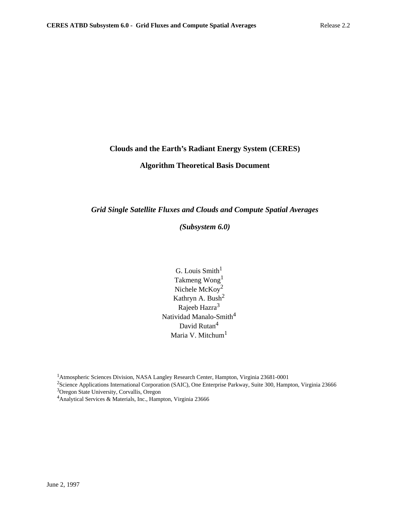## **Clouds and the Earth's Radiant Energy System (CERES)**

# **Algorithm Theoretical Basis Document**

*Grid Single Satellite Fluxes and Clouds and Compute Spatial Averages*

*(Subsystem 6.0)*

G. Louis  $Smith<sup>1</sup>$ Takmeng Wong1 Nichele McKoy2 Kathryn A. Bush<sup>2</sup> Rajeeb Hazra<sup>3</sup> Natividad Manalo-Smith<sup>4</sup> David Rutan<sup>4</sup> Maria V. Mitchum<sup>1</sup>

1Atmospheric Sciences Division, NASA Langley Research Center, Hampton, Virginia 23681-0001

<sup>2</sup>Science Applications International Corporation (SAIC), One Enterprise Parkway, Suite 300, Hampton, Virginia 23666 3Oregon State University, Corvallis, Oregon

<sup>4</sup>Analytical Services & Materials, Inc., Hampton, Virginia 23666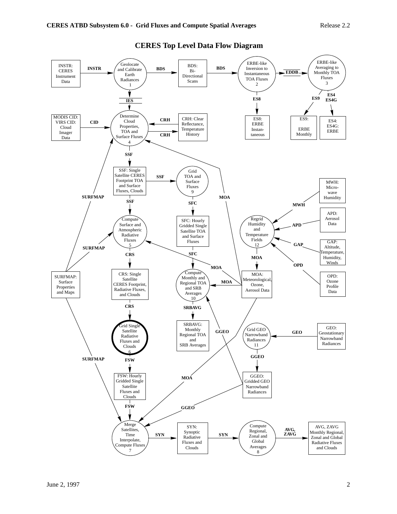

## **CERES Top Level Data Flow Diagram**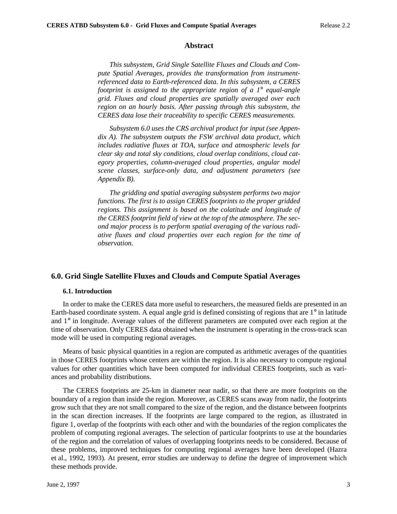#### **Abstract**

*This subsystem, Grid Single Satellite Fluxes and Clouds and Compute Spatial Averages, provides the transformation from instrumentreferenced data to Earth-referenced data. In this subsystem, a CERES footprint is assigned to the appropriate region of a 1*° *equal-angle grid. Fluxes and cloud properties are spatially averaged over each region on an hourly basis. After passing through this subsystem, the CERES data lose their traceability to specific CERES measurements.*

*Subsystem 6.0 uses the CRS archival product for input (see Appendix A). The subsystem outputs the FSW archival data product, which includes radiative fluxes at TOA, surface and atmospheric levels for clear sky and total sky conditions, cloud overlap conditions, cloud category properties, column-averaged cloud properties, angular model scene classes, surface-only data, and adjustment parameters (see Appendix B).*

*The gridding and spatial averaging subsystem performs two major functions. The first is to assign CERES footprints to the proper gridded regions. This assignment is based on the colatitude and longitude of the CERES footprint field of view at the top of the atmosphere. The second major process is to perform spatial averaging of the various radiative fluxes and cloud properties over each region for the time of observation.*

### **6.0. Grid Single Satellite Fluxes and Clouds and Compute Spatial Averages**

#### **6.1. Introduction**

In order to make the CERES data more useful to researchers, the measured fields are presented in an Earth-based coordinate system. A equal angle grid is defined consisting of regions that are 1° in latitude and 1° in longitude. Average values of the different parameters are computed over each region at the time of observation. Only CERES data obtained when the instrument is operating in the cross-track scan mode will be used in computing regional averages.

Means of basic physical quantities in a region are computed as arithmetic averages of the quantities in those CERES footprints whose centers are within the region. It is also necessary to compute regional values for other quantities which have been computed for individual CERES footprints, such as variances and probability distributions.

The CERES footprints are 25-km in diameter near nadir, so that there are more footprints on the boundary of a region than inside the region. Moreover, as CERES scans away from nadir, the footprints grow such that they are not small compared to the size of the region, and the distance between footprints in the scan direction increases. If the footprints are large compared to the region, as illustrated in figure 1, overlap of the footprints with each other and with the boundaries of the region complicates the problem of computing regional averages. The selection of particular footprints to use at the boundaries of the region and the correlation of values of overlapping footprints needs to be considered. Because of these problems, improved techniques for computing regional averages have been developed (Hazra et al., 1992, 1993). At present, error studies are underway to define the degree of improvement which these methods provide.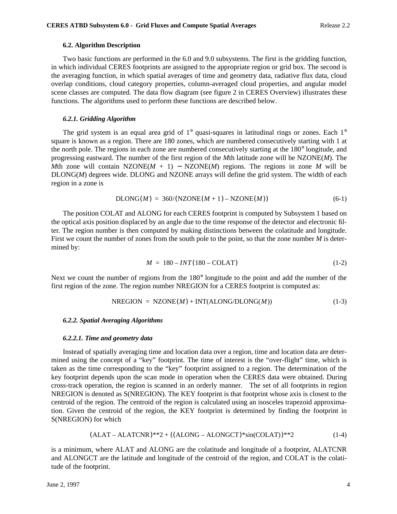### **6.2. Algorithm Description**

Two basic functions are performed in the 6.0 and 9.0 subsystems. The first is the gridding function, in which individual CERES footprints are assigned to the appropriate region or grid box. The second is the averaging function, in which spatial averages of time and geometry data, radiative flux data, cloud overlap conditions, cloud category properties, column-averaged cloud properties, and angular model scene classes are computed. The data flow diagram (see figure 2 in CERES Overview) illustrates these functions. The algorithms used to perform these functions are described below.

### *6.2.1. Gridding Algorithm*

The grid system is an equal area grid of 1° quasi-squares in latitudinal rings or zones. Each 1° square is known as a region. There are 180 zones, which are numbered consecutively starting with 1 at the north pole. The regions in each zone are numbered consecutively starting at the 180° longitude, and progressing eastward. The number of the first region of the *M*th latitude zone will be NZONE(*M*). The *M*th zone will contain NZONE( $M + 1$ ) – NZONE( $M$ ) regions. The regions in zone  $M$  will be DLONG(M) degrees wide. DLONG and NZONE arrays will define the grid system. The width of each region in a zone is

$$
DLONG(M) = 360/(NZONE(M+1) - NZONE(M))
$$
\n(6-1)

The position COLAT and ALONG for each CERES footprint is computed by Subsystem 1 based on the optical axis position displaced by an angle due to the time response of the detector and electronic filter. The region number is then computed by making distinctions between the colatitude and longitude. First we count the number of zones from the south pole to the point, so that the zone number *M* is determined by:

$$
M = 180 - INT(180 - COLAT)
$$
 (1-2)

Next we count the number of regions from the 180° longitude to the point and add the number of the first region of the zone. The region number NREGION for a CERES footprint is computed as:

$$
NREGION = NZONE(M) + INT(ALONG/DLONG(M))
$$
\n(1-3)

#### *6.2.2. Spatial Averaging Algorithms*

#### *6.2.2.1. Time and geometry data*

Instead of spatially averaging time and location data over a region, time and location data are determined using the concept of a "key" footprint. The time of interest is the "over-flight" time, which is taken as the time corresponding to the "key" footprint assigned to a region. The determination of the key footprint depends upon the scan mode in operation when the CERES data were obtained. During cross-track operation, the region is scanned in an orderly manner. The set of all footprints in region NREGION is denoted as S(NREGION). The KEY footprint is that footprint whose axis is closest to the centroid of the region. The centroid of the region is calculated using an isosceles trapezoid approximation. Given the centroid of the region, the KEY footprint is determined by finding the footprint in S(NREGION) for which

$$
(ALAT - ALATCNR)**2 + ((ALONG - ALONGCT)*sin(COLAT))**2
$$
\n
$$
(1-4)
$$

is a minimum, where ALAT and ALONG are the colatitude and longitude of a footprint, ALATCNR and ALONGCT are the latitude and longitude of the centroid of the region, and COLAT is the colatitude of the footprint.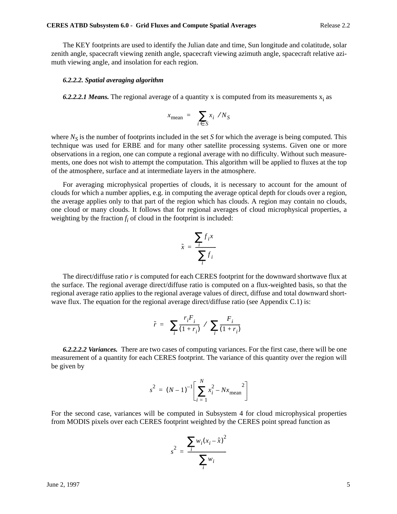The KEY footprints are used to identify the Julian date and time, Sun longitude and colatitude, solar zenith angle, spacecraft viewing zenith angle, spacecraft viewing azimuth angle, spacecraft relative azimuth viewing angle, and insolation for each region.

#### *6.2.2.2. Spatial averaging algorithm*

**6.2.2.2.1 Means.** The regional average of a quantity x is computed from its measurements  $x_i$  as

$$
x_{\text{mean}} = \left(\sum_{i \in S} x_i\right) / N_S
$$

where  $N<sub>S</sub>$  is the number of footprints included in the set *S* for which the average is being computed. This technique was used for ERBE and for many other satellite processing systems. Given one or more observations in a region, one can compute a regional average with no difficulty. Without such measurements, one does not wish to attempt the computation. This algorithm will be applied to fluxes at the top of the atmosphere, surface and at intermediate layers in the atmosphere.

For averaging microphysical properties of clouds, it is necessary to account for the amount of clouds for which a number applies, e.g. in computing the average optical depth for clouds over a region, the average applies only to that part of the region which has clouds. A region may contain no clouds, one cloud or many clouds. It follows that for regional averages of cloud microphysical properties, a weighting by the fraction  $f_i$  of cloud in the footprint is included:

$$
\tilde{x} = \frac{\sum_{i} f_i x}{\sum_{i} f_i}
$$

The direct/diffuse ratio *r* is computed for each CERES footprint for the downward shortwave flux at the surface. The regional average direct/diffuse ratio is computed on a flux-weighted basis, so that the regional average ratio applies to the regional average values of direct, diffuse and total downward shortwave flux. The equation for the regional average direct/diffuse ratio (see Appendix C.1) is:

$$
\tilde{r} = \left(\sum_{i} \frac{r_i F_i}{(1+r_i)}\right) / \left(\sum_{i} \frac{F_i}{(1+r_i)}\right)
$$

*6.2.2.2.2 Variances.* There are two cases of computing variances. For the first case, there will be one measurement of a quantity for each CERES footprint. The variance of this quantity over the region will be given by

$$
s^{2} = (N - 1)^{-1} \left[ \sum_{i=1}^{N} x_{i}^{2} - Nx_{\text{mean}}^{2} \right]
$$

For the second case, variances will be computed in Subsystem 4 for cloud microphysical properties from MODIS pixels over each CERES footprint weighted by the CERES point spread function as

$$
s^{2} = \frac{\sum_{i} w_{i}(x_{i} - \hat{x})^{2}}{\sum_{i} w_{i}}
$$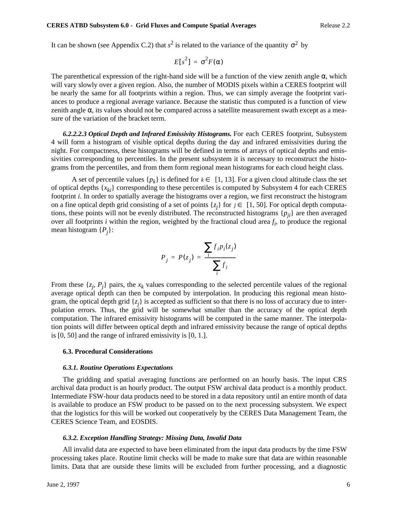It can be shown (see Appendix C.2) that  $s^2$  is related to the variance of the quantity  $σ^2$  by

$$
E[s^2] = \sigma^2 F(\alpha)
$$

The parenthetical expression of the right-hand side will be a function of the view zenith angle  $\alpha$ , which will vary slowly over a given region. Also, the number of MODIS pixels within a CERES footprint will be nearly the same for all footprints within a region. Thus, we can simply average the footprint variances to produce a regional average variance. Because the statistic thus computed is a function of view zenith angle  $\alpha$ , its values should not be compared across a satellite measurement swath except as a measure of the variation of the bracket term.

*6.2.2.2.3 Optical Depth and Infrared Emissivity Histograms.* For each CERES footprint, Subsystem 4 will form a histogram of visible optical depths during the day and infrared emissivities during the night. For compactness, these histograms will be defined in terms of arrays of optical depths and emissivities corresponding to percentiles. In the present subsystem it is necessary to reconstruct the histograms from the percentiles, and from them form regional mean histograms for each cloud height class.

A set of percentile values  $\{p_k\}$  is defined for  $k \in [1, 13]$ . For a given cloud altitude class the set of optical depths {*xki*} corresponding to these percentiles is computed by Subsystem 4 for each CERES footprint *i*. In order to spatially average the histograms over a region, we first reconstruct the histogram on a fine optical depth grid consisting of a set of points  $\{z_j\}$  for  $j \in [1, 50]$ . For optical depth computations, these points will not be evenly distributed. The reconstructed histograms  $\{p_{ij}\}\$ are then averaged over all footprints  $i$  within the region, weighted by the fractional cloud area  $f_i$ , to produce the regional mean histogram {*Pj* }:

$$
P_j = P(z_j) = \frac{\sum_i f_i p_i(z_j)}{\sum_i f_i}
$$

From these  $\{z_j, P_j\}$  pairs, the  $x_k$  values corresponding to the selected percentile values of the regional average optical depth can then be computed by interpolation. In producing this regional mean histogram, the optical depth grid  $\{z_j\}$  is accepted as sufficient so that there is no loss of accuracy due to interpolation errors. Thus, the grid will be somewhat smaller than the accuracy of the optical depth computation. The infrared emissivity histograms will be computed in the same manner. The interpolation points will differ between optical depth and infrared emissivity because the range of optical depths is [0, 50] and the range of infrared emissivity is [0, 1.].

#### **6.3. Procedural Considerations**

#### *6.3.1. Routine Operations Expectations*

The gridding and spatial averaging functions are performed on an hourly basis. The input CRS archival data product is an hourly product. The output FSW archival data product is a monthly product. Intermediate FSW-hour data products need to be stored in a data repository until an entire month of data is available to produce an FSW product to be passed on to the next processing subsystem. We expect that the logistics for this will be worked out cooperatively by the CERES Data Management Team, the CERES Science Team, and EOSDIS.

#### *6.3.2. Exception Handling Strategy: Missing Data, Invalid Data*

All invalid data are expected to have been eliminated from the input data products by the time FSW processing takes place. Routine limit checks will be made to make sure that data are within reasonable limits. Data that are outside these limits will be excluded from further processing, and a diagnostic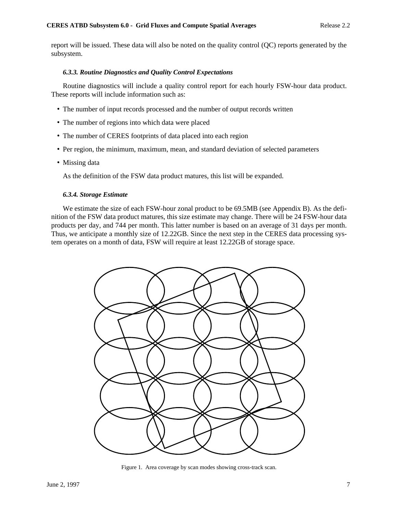report will be issued. These data will also be noted on the quality control (QC) reports generated by the subsystem.

### *6.3.3. Routine Diagnostics and Quality Control Expectations*

Routine diagnostics will include a quality control report for each hourly FSW-hour data product. These reports will include information such as:

- The number of input records processed and the number of output records written
- The number of regions into which data were placed
- The number of CERES footprints of data placed into each region
- Per region, the minimum, maximum, mean, and standard deviation of selected parameters
- Missing data

As the definition of the FSW data product matures, this list will be expanded.

#### *6.3.4. Storage Estimate*

We estimate the size of each FSW-hour zonal product to be 69.5MB (see Appendix B). As the definition of the FSW data product matures, this size estimate may change. There will be 24 FSW-hour data products per day, and 744 per month. This latter number is based on an average of 31 days per month. Thus, we anticipate a monthly size of 12.22GB. Since the next step in the CERES data processing system operates on a month of data, FSW will require at least 12.22GB of storage space.



Figure 1. Area coverage by scan modes showing cross-track scan.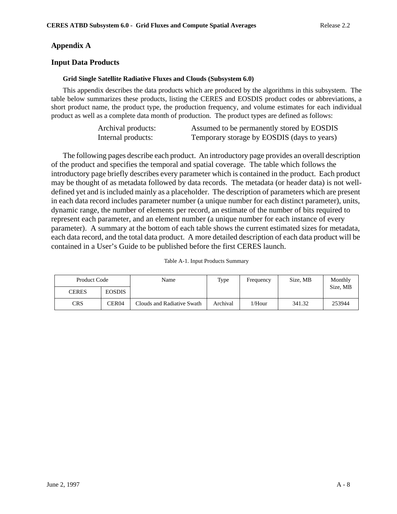# **Appendix A**

# **Input Data Products**

## **Grid Single Satellite Radiative Fluxes and Clouds (Subsystem 6.0)**

This appendix describes the data products which are produced by the algorithms in this subsystem. The table below summarizes these products, listing the CERES and EOSDIS product codes or abbreviations, a short product name, the product type, the production frequency, and volume estimates for each individual product as well as a complete data month of production. The product types are defined as follows:

| Archival products: | Assumed to be permanently stored by EOSDIS  |
|--------------------|---------------------------------------------|
| Internal products: | Temporary storage by EOSDIS (days to years) |

The following pages describe each product. An introductory page provides an overall description of the product and specifies the temporal and spatial coverage. The table which follows the introductory page briefly describes every parameter which is contained in the product. Each product may be thought of as metadata followed by data records. The metadata (or header data) is not welldefined yet and is included mainly as a placeholder. The description of parameters which are present in each data record includes parameter number (a unique number for each distinct parameter), units, dynamic range, the number of elements per record, an estimate of the number of bits required to represent each parameter, and an element number (a unique number for each instance of every parameter). A summary at the bottom of each table shows the current estimated sizes for metadata, each data record, and the total data product. A more detailed description of each data product will be contained in a User's Guide to be published before the first CERES launch.

| Product Code |               | Name                       | Type     | Frequency | Size, MB | Monthly  |
|--------------|---------------|----------------------------|----------|-----------|----------|----------|
| <b>CERES</b> | <b>EOSDIS</b> |                            |          |           |          | Size, MB |
| <b>CRS</b>   | CER04         | Clouds and Radiative Swath | Archival | l/Hour    | 341.32   | 253944   |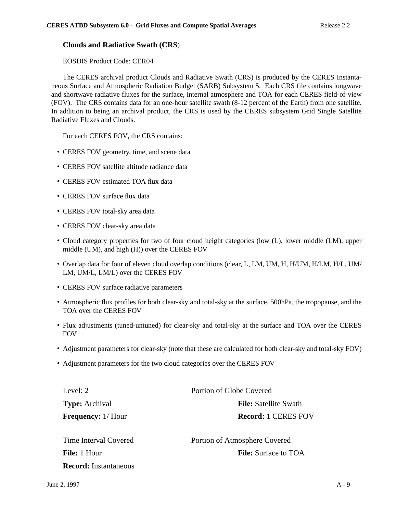# **Clouds and Radiative Swath (CRS**)

EOSDIS Product Code: CER04

The CERES archival product Clouds and Radiative Swath (CRS) is produced by the CERES Instantaneous Surface and Atmospheric Radiation Budget (SARB) Subsystem 5. Each CRS file contains longwave and shortwave radiative fluxes for the surface, internal atmosphere and TOA for each CERES field-of-view (FOV). The CRS contains data for an one-hour satellite swath (8-12 percent of the Earth) from one satellite. In addition to being an archival product, the CRS is used by the CERES subsystem Grid Single Satellite Radiative Fluxes and Clouds.

For each CERES FOV, the CRS contains:

- CERES FOV geometry, time, and scene data
- CERES FOV satellite altitude radiance data
- CERES FOV estimated TOA flux data
- CERES FOV surface flux data
- CERES FOV total-sky area data
- CERES FOV clear-sky area data
- Cloud category properties for two of four cloud height categories (low (L), lower middle (LM), upper middle (UM), and high (H)) over the CERES FOV
- Overlap data for four of eleven cloud overlap conditions (clear, L, LM, UM, H, H/UM, H/LM, H/L, UM/ LM, UM/L, LM/L) over the CERES FOV
- CERES FOV surface radiative parameters
- Atmospheric flux profiles for both clear-sky and total-sky at the surface, 500hPa, the tropopause, and the TOA over the CERES FOV
- Flux adjustments (tuned-untuned) for clear-sky and total-sky at the surface and TOA over the CERES FOV
- Adjustment parameters for clear-sky (note that these are calculated for both clear-sky and total-sky FOV)
- Adjustment parameters for the two cloud categories over the CERES FOV

| Level: 2                 | Portion of Globe Covered     |  |  |
|--------------------------|------------------------------|--|--|
| <b>Type:</b> Archival    | <b>File:</b> Satellite Swath |  |  |
| <b>Frequency:</b> 1/Hour | <b>Record: 1 CERES FOV</b>   |  |  |

| Time Interval Covered        | Portion of Atmosphere Covered |  |  |
|------------------------------|-------------------------------|--|--|
| <b>File:</b> 1 Hour          | <b>File:</b> Surface to TOA   |  |  |
| <b>Record:</b> Instantaneous |                               |  |  |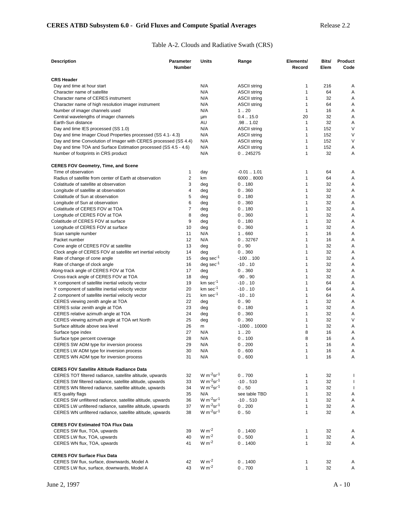# Table A-2. Clouds and Radiative Swath (CRS)

| <b>Description</b>                                                                       | Parameter     | Units                       | Range                           | Elements/                    | Bits/      | Product |
|------------------------------------------------------------------------------------------|---------------|-----------------------------|---------------------------------|------------------------------|------------|---------|
|                                                                                          | <b>Number</b> |                             |                                 | Record                       | Elem       | Code    |
| <b>CRS Header</b>                                                                        |               |                             |                                 |                              |            |         |
| Day and time at hour start                                                               |               | N/A                         | <b>ASCII string</b>             | 1                            | 216        | Α       |
| Character name of satellite                                                              |               | N/A                         | <b>ASCII string</b>             | $\mathbf{1}$                 | 64         | Α       |
| Character name of CERES instrument                                                       |               | N/A                         | <b>ASCII string</b>             | 1                            | 32         | Α       |
| Character name of high resolution imager instrument                                      |               | N/A                         | <b>ASCII string</b>             | $\mathbf{1}$                 | 64         | Α       |
| Number of imager channels used                                                           |               | N/A                         | 1.20                            | $\mathbf{1}$                 | 16         | Α       |
| Central wavelengths of imager channels                                                   |               | μm                          | $0.4-.15.0$                     | 20                           | 32         | Α       |
| Earth-Sun distance                                                                       |               | AU                          | .981.02                         | 1                            | 32         | Α       |
| Day and time IES processed (SS 1.0)                                                      |               | N/A                         | <b>ASCII string</b>             | $\mathbf{1}$                 | 152        | $\vee$  |
| Day and time Imager Cloud Properties processed (SS 4.1-4.3)                              |               | N/A                         | <b>ASCII string</b>             | 1                            | 152        | $\vee$  |
| Day and time Convolution of Imager with CERES processed (SS 4.4)                         |               | N/A<br>N/A                  | <b>ASCII string</b>             | 1<br>1                       | 152<br>152 | V       |
| Day and time TOA and Surface Estimation processed (SS 4.5 - 4.6)                         |               | N/A                         | <b>ASCII string</b><br>0.245275 | $\mathbf{1}$                 | 32         | Α<br>Α  |
| Number of footprints in CRS product                                                      |               |                             |                                 |                              |            |         |
| <b>CERES FOV Geometry, Time, and Scene</b>                                               |               |                             |                                 |                              |            |         |
| Time of observation                                                                      | 1             | day                         | $-0.011.01$                     | 1                            | 64         | Α       |
| Radius of satellite from center of Earth at observation                                  | 2             | km                          | 6000  8000                      | 1                            | 64         | Α       |
| Colatitude of satellite at observation                                                   | 3             | deg                         | 0.180                           | $\mathbf{1}$                 | 32         | Α       |
| Longitude of satellite at observation                                                    | 4             | deg                         | 0.360                           | 1                            | 32         | Α       |
| Colatitude of Sun at observation                                                         | 5             | deg                         | 0.180                           | $\mathbf{1}$                 | 32         | Α       |
| Longitude of Sun at observation                                                          | 6             | deg                         | 0.360                           | $\mathbf{1}$                 | 32         | Α       |
| Colatitude of CERES FOV at TOA                                                           | 7             | deg                         | 0.180                           | 1                            | 32         | Α       |
| Longitude of CERES FOV at TOA                                                            | 8             | deg                         | 0.360                           | 1                            | 32         | Α       |
| Colatitude of CERES FOV at surface                                                       | 9             | deg                         | 0.180                           | $\mathbf{1}$                 | 32         | Α       |
| Longitude of CERES FOV at surface                                                        | 10<br>11      | deg<br>N/A                  | 0.360<br>1.660                  | $\mathbf{1}$<br>1            | 32<br>16   | Α<br>Α  |
| Scan sample number<br>Packet number                                                      | 12            | N/A                         | 0.32767                         | $\mathbf{1}$                 | 16         | Α       |
| Cone angle of CERES FOV at satellite                                                     | 13            | deg                         | 0.90                            | 1                            | 32         | Α       |
| Clock angle of CERES FOV at satellite wrt inertial velocity                              | 14            | deg                         | 0.360                           | 1                            | 32         | Α       |
| Rate of change of cone angle                                                             | 15            | $deg sec-1$                 | $-100.100$                      | 1                            | 32         | Α       |
| Rate of change of clock angle                                                            | 16            | $deg sec^{-1}$              | $-10.10$                        | 1                            | 32         | Α       |
| Along-track angle of CERES FOV at TOA                                                    | 17            | deg                         | 0.360                           | $\mathbf{1}$                 | 32         | Α       |
| Cross-track angle of CERES FOV at TOA                                                    | 18            | deg                         | $-90.90$                        | 1                            | 32         | Α       |
| X component of satellite inertial velocity vector                                        | 19            | km sec <sup>-1</sup>        | $-10.10$                        | 1                            | 64         | Α       |
| Y component of satellite inertial velocity vector                                        | 20            | $km \sec^{-1}$              | $-1010$                         | 1                            | 64         | Α       |
| Z component of satellite inertial velocity vector                                        | 21            | $km \sec^{-1}$              | $-1010$                         | $\mathbf{1}$                 | 64         | Α       |
| CERES viewing zenith angle at TOA                                                        | 22            | deg                         | 0.90                            | $\mathbf{1}$                 | 32         | Α       |
| CERES solar zenith angle at TOA                                                          | 23            | deg                         | 0.180                           | 1                            | 32         | Α       |
| CERES relative azimuth angle at TOA                                                      | 24            | deg                         | 0.360                           | $\mathbf{1}$                 | 32         | Α       |
| CERES viewing azimuth angle at TOA wrt North                                             | 25            | deg                         | 0.360                           | 1                            | 32         | V       |
| Surface altitude above sea level                                                         | 26            | m                           | $-100010000$                    | 1                            | 32         | Α       |
| Surface type index                                                                       | 27            | N/A                         | 1.20                            | 8                            | 16         | Α       |
| Surface type percent coverage                                                            | 28            | N/A                         | 0.100                           | 8                            | 16         | Α       |
| CERES SW ADM type for inversion process                                                  | 29            | N/A                         | 0.200                           | $\mathbf{1}$                 | 16         | Α       |
| CERES LW ADM type for inversion process                                                  | 30<br>31      | N/A<br>N/A                  | 0.600<br>0.600                  | $\mathbf{1}$<br>$\mathbf{1}$ | 16<br>16   | Α<br>Α  |
| CERES WN ADM type for inversion process                                                  |               |                             |                                 |                              |            |         |
| <b>CERES FOV Satellite Altitude Radiance Data</b>                                        |               |                             |                                 |                              |            |         |
| CERES TOT filtered radiance, satellite altitude, upwards                                 | 32            | W $m^{-2}$ sr <sup>-1</sup> | 0.700                           | 1                            | 32         | ı       |
| CERES SW filtered radiance, satellite altitude, upwards                                  | 33            | $W m-2 sr-1$                | $-10.510$                       | $\mathbf{1}$                 | 32         | ı       |
| CERES WN filtered radiance, satellite altitude, upwards                                  | 34            | W $m^{-2}$ sr <sup>-1</sup> | 0.50                            | $\mathbf{1}$                 | 32         | T       |
| <b>IES quality flags</b>                                                                 | 35            | N/A                         | see table TBD                   | 1                            | 32         | Α       |
| CERES SW unfiltered radiance, satellite altitude, upwards                                | 36            | W $m^{-2}$ sr <sup>-1</sup> | $-10.510$                       | 1                            | 32         | Α       |
| CERES LW unfiltered radiance, satellite altitude, upwards                                | 37            | $W m^{-2}$ sr <sup>-1</sup> | 0.200                           | 1                            | 32         | Α       |
| CERES WN unfiltered radiance, satellite altitude, upwards                                | 38            | W $m^{-2}$ sr <sup>-1</sup> | 0.50                            | $\mathbf{1}$                 | 32         | Α       |
| <b>CERES FOV Estimated TOA Flux Data</b>                                                 |               |                             |                                 |                              |            |         |
| CERES SW flux, TOA, upwards                                                              | 39            | $W m-2$                     | 0.1400                          | 1                            | 32         | Α       |
| CERES LW flux, TOA, upwards                                                              | 40            | $W m-2$                     | 0.500                           | 1                            | 32         | Α       |
| CERES WN flux, TOA, upwards                                                              | 41            | $W m-2$                     | 0.1400                          | $\mathbf{1}$                 | 32         | Α       |
|                                                                                          |               |                             |                                 |                              |            |         |
| <b>CERES FOV Surface Flux Data</b>                                                       |               | $W m-2$                     | 0.1400                          |                              |            |         |
| CERES SW flux, surface, downwards, Model A<br>CERES LW flux, surface, downwards, Model A | 42<br>43      | $W m-2$                     | 0.700                           | 1<br>$\mathbf{1}$            | 32<br>32   | Α<br>Α  |
|                                                                                          |               |                             |                                 |                              |            |         |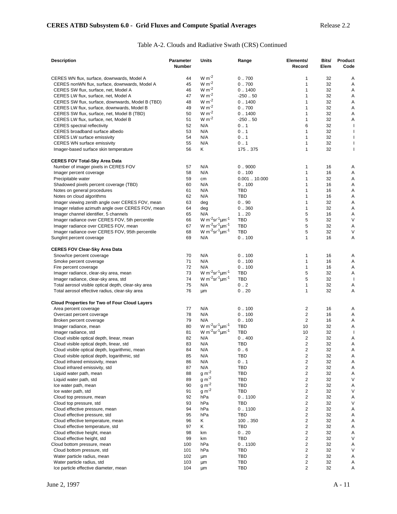## Table A-2. Clouds and Radiative Swath (CRS) Continued

| <b>Description</b>                                   | <b>Parameter</b><br><b>Number</b> | Units                                                    | Range       | Elements/<br>Record     | Bits/<br>Elem | Product<br>Code          |
|------------------------------------------------------|-----------------------------------|----------------------------------------------------------|-------------|-------------------------|---------------|--------------------------|
|                                                      |                                   |                                                          |             |                         |               |                          |
| CERES WN flux, surface, downwards, Model A           | 44                                | $W m-2$                                                  | 0.700       | 1                       | 32            | Α                        |
| CERES nonWN flux, surface, downwards, Model A        | 45                                | $W m^{-2}$                                               | 0.700       | $\mathbf{1}$            | 32            | Α                        |
| CERES SW flux, surface, net, Model A                 | 46                                | $W m-2$                                                  | 0.1400      | $\mathbf{1}$            | 32            | Α                        |
| CERES LW flux, surface, net, Model A                 | 47                                | $W m-2$                                                  | $-250.50$   | 1                       | 32            | Α                        |
| CERES SW flux, surface, downwards, Model B (TBD)     | 48                                | $W m-2$                                                  | 0.1400      | $\mathbf{1}$            | 32            | Α                        |
| CERES LW flux, surface, downwards, Model B           | 49                                | $W m^{-2}$                                               | 0.700       | 1                       | 32            | Α                        |
| CERES SW flux, surface, net, Model B (TBD)           | 50                                | $W m-2$                                                  | 0.1400      | 1                       | 32            | Α                        |
| CERES LW flux, surface, net, Model B                 | 51                                | $W m-2$                                                  | $-250.50$   | 1                       | 32            | Α                        |
| <b>CERES</b> spectral reflectivity                   | 52                                | N/A                                                      | 0.1         | 6                       | 32            | ı                        |
| CERES broadband surface albedo                       | 53                                | N/A                                                      | 0.1         | $\mathbf{1}$            | 32            | T                        |
| <b>CERES LW surface emissivity</b>                   | 54                                | N/A                                                      | 0.1         | 1                       | 32            | ı                        |
| <b>CERES WN surface emissivity</b>                   | 55                                | N/A                                                      | 0.1         | 1                       | 32            | T                        |
| Imager-based surface skin temperature                | 56                                | K                                                        | 175.375     | $\mathbf{1}$            | 32            | $\mathbf{I}$             |
| <b>CERES FOV Total-Sky Area Data</b>                 |                                   |                                                          |             |                         |               |                          |
| Number of imager pixels in CERES FOV                 | 57                                | N/A                                                      | 0.9000      | 1                       | 16            | Α                        |
| Imager percent coverage                              | 58                                | N/A                                                      | 0.100       | $\mathbf{1}$            | 16            | Α                        |
| Precipitable water                                   | 59                                | cm                                                       | 0.00110.000 | $\mathbf{1}$            | 32            | Α                        |
| Shadowed pixels percent coverage (TBD)               | 60                                | N/A                                                      | 0.100       | $\mathbf{1}$            | 16            | Α                        |
| Notes on general procedures                          | 61                                | N/A                                                      | TBD         | $\mathbf{1}$            | 16            | Α                        |
| Notes on cloud algorithms                            | 62                                | N/A                                                      | TBD         | $\mathbf{1}$            | 16            | Α                        |
| Imager viewing zenith angle over CERES FOV, mean     | 63                                | deg                                                      | 0.90        | 1                       | 32            | Α                        |
| Imager relative azimuth angle over CERES FOV, mean   | 64                                | deg                                                      | 0.360       | 1                       | 32            | Α                        |
| Imager channel identifier, 5 channels                | 65                                | N/A                                                      | 1.20        | 5                       | 16            | Α                        |
|                                                      |                                   | W m <sup>-2</sup> sr <sup>-1</sup> <sub>um</sub> -1      |             |                         |               |                          |
| Imager radiance over CERES FOV, 5th percentile       | 66                                |                                                          | TBD         | 5                       | 32            | $\vee$                   |
| Imager radiance over CERES FOV, mean                 | 67                                | W m <sup>-2</sup> sr <sup>-1</sup> <sub>um</sub> -1      | <b>TBD</b>  | 5                       | 32            | Α                        |
| Imager radiance over CERES FOV, 95th percentile      | 68                                | W m <sup>-2</sup> sr <sup>-1</sup> <sub>um</sub> -1      | <b>TBD</b>  | 5                       | 32            | V                        |
| Sunglint percent coverage                            | 69                                | N/A                                                      | 0.100       | $\mathbf{1}$            | 16            | Α                        |
| <b>CERES FOV Clear-Sky Area Data</b>                 |                                   |                                                          |             |                         |               |                          |
| Snow/Ice percent coverage                            | 70                                | N/A                                                      | 0.100       | 1                       | 16            | Α                        |
| Smoke percent coverage                               | 71                                | N/A                                                      | 0.100       | $\mathbf{1}$            | 16            | Α                        |
| Fire percent coverage                                | 72                                | N/A                                                      | 0.100       | $\mathbf{1}$            | 16            | Α                        |
| Imager radiance, clear-sky area, mean                | 73                                | W $m^{-2}$ sr <sup>-1</sup> um <sup>-1</sup>             | <b>TBD</b>  | 5                       | 32            | Α                        |
| Imager radiance, clear-sky area, std                 | 74                                | W m <sup>-2</sup> sr <sup>-1</sup> $\mu$ m <sup>-1</sup> | <b>TBD</b>  | 5                       | 32            | -1                       |
| Total aerosol visible optical depth, clear-sky area  | 75                                | N/A                                                      | 0.2         | $\mathbf{1}$            | 32            | Α                        |
| Total aerosol effective radius, clear-sky area       | 76                                | μm                                                       | 0.20        | $\mathbf{1}$            | 32            | Α                        |
| <b>Cloud Properties for Two of Four Cloud Layers</b> |                                   |                                                          |             |                         |               |                          |
| Area percent coverage                                | 77                                | N/A                                                      | 0.100       | 2                       | 16            | Α                        |
| Overcast percent coverage                            | 78                                | N/A                                                      | 0.100       | 2                       | 16            | Α                        |
| Broken percent coverage                              | 79                                | N/A                                                      | 0.100       | $\overline{2}$          | 16            | Α                        |
| Imager radiance, mean                                | 80                                | $W m^{-2}$ sr <sup>-1</sup> um <sup>-1</sup>             | <b>TBD</b>  | 10                      | 32            | Α                        |
| Imager radiance, std                                 | 81                                | W m <sup>-2</sup> sr <sup>-1</sup> $\mu$ m <sup>-1</sup> | <b>TBD</b>  | 10                      | 32            | $\overline{\phantom{a}}$ |
| Cloud visible optical depth, linear, mean            | 82                                | N/A                                                      | 0.400       | $\overline{2}$          | 32            | Α                        |
| Cloud visible optical depth, linear, std             | 83                                | N/A                                                      | TBD         | $\overline{2}$          | 32            | A                        |
| Cloud visible optical depth, logarithmic, mean       | 84                                | N/A                                                      | 0.6         | $\overline{c}$          | 32            | Α                        |
| Cloud visible optical depth, logarithmic, std        | 85                                | N/A                                                      | TBD         | $\overline{c}$          | 32            | Α                        |
| Cloud infrared emissivity, mean                      | 86                                | N/A                                                      | 0.1         | $\overline{c}$          | 32            |                          |
|                                                      |                                   |                                                          |             |                         |               | Α                        |
| Cloud infrared emissivity, std                       | 87                                | N/A                                                      | TBD         | $\overline{c}$          | 32            | Α                        |
| Liquid water path, mean                              | 88                                | $g m-2$                                                  | TBD         | $\overline{c}$          | 32            | Α                        |
| Liquid water path, std                               | 89                                | $g m-2$                                                  | TBD         | $\overline{c}$          | 32            | V                        |
| Ice water path, mean                                 | 90                                | $g m-2$                                                  | TBD         | $\overline{2}$          | 32            | Α                        |
| Ice water path, std                                  | 91                                | $g m-2$                                                  | TBD         | $\overline{c}$          | 32            | V                        |
| Cloud top pressure, mean                             | 92                                | hPa                                                      | 0.1100      | $\overline{c}$          | 32            | Α                        |
| Cloud top pressure, std.                             | 93                                | hPa                                                      | TBD         | $\overline{2}$          | 32            | V                        |
| Cloud effective pressure, mean                       | 94                                | hPa                                                      | 0.1100      | $\overline{c}$          | 32            | Α                        |
| Cloud effective pressure, std                        | 95                                | hPa                                                      | TBD         | $\overline{\mathbf{c}}$ | 32            | Α                        |
| Cloud effective temperature, mean                    | 96                                | ĸ                                                        | 100350      | $\overline{2}$          | 32            | Α                        |
| Cloud effective temperature, std                     | 97                                | ĸ                                                        | TBD         | $\overline{c}$          | 32            | Α                        |
| Cloud effective height, mean                         | 98                                | km                                                       | 0.20        | $\overline{c}$          | 32            | Α                        |
| Cloud effective height, std                          | 99                                | km                                                       | <b>TBD</b>  | $\overline{\mathbf{c}}$ | 32            | V                        |
| Cloud bottom pressure, mean                          | 100                               | hPa                                                      | 0.1100      | $\overline{\mathbf{c}}$ | 32            | Α                        |
| Cloud bottom pressure, std                           | 101                               | hPa                                                      | TBD         | $\overline{\mathbf{c}}$ | 32            | V                        |
| Water particle radius, mean                          | 102                               | μm                                                       | TBD         | $\overline{c}$          | 32            | Α                        |
| Water particle radius, std                           | 103                               |                                                          | TBD         | $\overline{c}$          | 32            |                          |
|                                                      |                                   | μm                                                       |             | $\overline{2}$          |               | Α                        |
| Ice particle effective diameter, mean                | 104                               | μm                                                       | <b>TBD</b>  |                         | 32            | Α                        |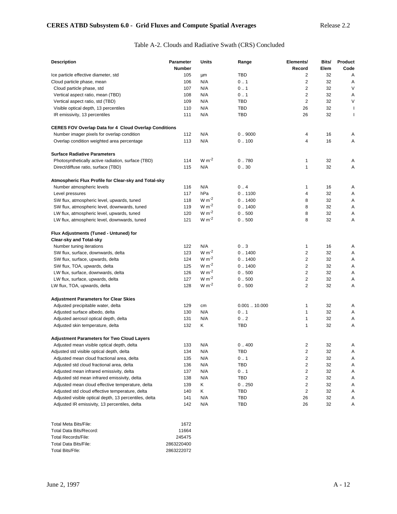# Table A-2. Clouds and Radiative Swath (CRS) Concluded

| <b>Description</b>                                           | <b>Parameter</b><br><b>Number</b> | Units      | Range       | Elements/<br>Record     | Bits/<br>Elem | Product<br>Code |
|--------------------------------------------------------------|-----------------------------------|------------|-------------|-------------------------|---------------|-----------------|
| Ice particle effective diameter, std                         | 105                               | μm         | TBD         | 2                       | 32            | Α               |
| Cloud particle phase, mean                                   | 106                               | N/A        | 0.1         | $\overline{\mathbf{c}}$ | 32            | Α               |
| Cloud particle phase, std                                    | 107                               | N/A        | 0.1         | $\overline{2}$          | 32            | V               |
| Vertical aspect ratio, mean (TBD)                            | 108                               | N/A        | 0.1         | $\overline{2}$          | 32            | Α               |
| Vertical aspect ratio, std (TBD)                             | 109                               | N/A        | TBD         | $\overline{2}$          | 32            | V               |
| Visible optical depth, 13 percentiles                        | 110                               | N/A        | TBD         | 26                      | 32            | J.              |
| IR emissivity, 13 percentiles                                | 111                               | N/A        | TBD         | 26                      | 32            | J.              |
| <b>CERES FOV Overlap Data for 4 Cloud Overlap Conditions</b> |                                   |            |             |                         |               |                 |
| Number imager pixels for overlap condition                   | 112                               | N/A        | 0.9000      | 4                       | 16            | Α               |
| Overlap condition weighted area percentage                   | 113                               | N/A        | 0.100       | 4                       | 16            | Α               |
| <b>Surface Radiative Parameters</b>                          |                                   |            |             |                         |               |                 |
| Photosynthetically active radiation, surface (TBD)           | 114                               | $W m-2$    | 0.780       | 1                       | 32            | Α               |
| Direct/diffuse ratio, surface (TBD)                          | 115                               | N/A        | 0.30        | 1                       | 32            | Α               |
| Atmospheric Flux Profile for Clear-sky and Total-sky         |                                   |            |             |                         |               |                 |
| Number atmospheric levels                                    | 116                               | N/A        | 0.4         | 1                       | 16            | Α               |
| Level pressures                                              | 117                               | hPa        | 0.1100      | 4                       | 32            | Α               |
| SW flux, atmospheric level, upwards, tuned                   | 118                               | $W m-2$    | 0.1400      | 8                       | 32            | Α               |
| SW flux, atmospheric level, downwards, tuned                 | 119                               | $W m-2$    | 0.1400      | 8                       | 32            | Α               |
| LW flux, atmospheric level, upwards, tuned                   | 120                               | $W m-2$    | 0.500       | 8                       | 32            | Α               |
| LW flux, atmospheric level, downwards, tuned                 | 121                               | $W m-2$    | 0.500       | 8                       | 32            | Α               |
| Flux Adjustments (Tuned - Untuned) for                       |                                   |            |             |                         |               |                 |
| <b>Clear-sky and Total-sky</b>                               |                                   |            |             |                         |               |                 |
| Number tuning iterations                                     | 122                               | N/A        | 0.3         | 1                       | 16            | Α               |
| SW flux, surface, downwards, delta                           | 123                               | $W m-2$    | 0.1400      | $\overline{2}$          | 32            | Α               |
| SW flux, surface, upwards, delta                             | 124                               | $W m^{-2}$ | 0.1400      | $\overline{2}$          | 32            | Α               |
| SW flux, TOA, upwards, delta                                 | 125                               | $W m-2$    | 0.1400      | $\overline{2}$          | 32            | Α               |
| LW flux, surface, downwards, delta                           | 126                               | $W m-2$    | 0.500       | 2                       | 32            | Α               |
| LW flux, surface, upwards, delta                             | 127                               | $W m-2$    | 0.500       | $\overline{\mathbf{c}}$ | 32            | Α               |
| LW flux, TOA, upwards, delta                                 | 128                               | $W m-2$    | 0.500       | 2                       | 32            | Α               |
| <b>Adjustment Parameters for Clear Skies</b>                 |                                   |            |             |                         |               |                 |
| Adjusted precipitable water, delta                           | 129                               | cm         | 0.00110.000 | 1                       | 32            | Α               |
| Adjusted surface albedo, delta                               | 130                               | N/A        | 0.1         | 1                       | 32            | Α               |
| Adjusted aerosol optical depth, delta                        | 131                               | N/A        | 0.2         | 1                       | 32            | Α               |
| Adjusted skin temperature, delta                             | 132                               | Κ          | TBD         | 1                       | 32            | Α               |
| <b>Adjustment Parameters for Two Cloud Layers</b>            |                                   |            |             |                         |               |                 |
| Adjusted mean visible optical depth, delta                   | 133                               | N/A        | 0.400       | 2                       | 32            | A               |
| Adjusted std visible optical depth, delta                    | 134                               | N/A        | TBD         | $\overline{\mathbf{c}}$ | 32            | Α               |
| Adjusted mean cloud fractional area, delta                   | 135                               | N/A        | 0.1         | 2                       | 32            | Α               |
| Adjusted std cloud fractional area, delta                    | 136                               | N/A        | <b>TBD</b>  | 2                       | 32            | Α               |
| Adjusted mean infrared emissivity, delta                     | 137                               | N/A        | 0.1         | $\overline{\mathbf{c}}$ | 32            | Α               |
| Adjusted std mean infrared emissivity, delta                 | 138                               | N/A        | TBD         | 2                       | 32            | Α               |
| Adjusted mean cloud effective temperature, delta             | 139                               | Κ          | 0.250       | 2                       | 32            | Α               |
| Adjusted std cloud effective temperature, delta              | 140                               | Κ          | TBD         | $\overline{2}$          | 32            | Α               |
| Adjusted visible optical depth, 13 percentiles, delta        | 141                               | N/A        | TBD         | 26                      | 32            | Α               |
| Adjusted IR emissivity, 13 percentiles, delta                | 142                               | N/A        | TBD         | 26                      | 32            | Α               |
|                                                              |                                   |            |             |                         |               |                 |

| Total Meta Bits/File:   | 1672       |
|-------------------------|------------|
| Total Data Bits/Record: | 11664      |
| Total Records/File:     | 245475     |
| Total Data Bits/File:   | 2863220400 |
| Total Bits/Flle:        | 2863222072 |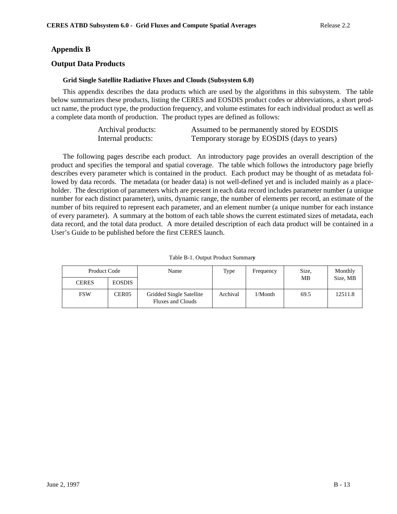# **Appendix B**

## **Output Data Products**

## **Grid Single Satellite Radiative Fluxes and Clouds (Subsystem 6.0)**

This appendix describes the data products which are used by the algorithms in this subsystem. The table below summarizes these products, listing the CERES and EOSDIS product codes or abbreviations, a short product name, the product type, the production frequency, and volume estimates for each individual product as well as a complete data month of production. The product types are defined as follows:

| Archival products: | Assumed to be permanently stored by EOSDIS  |
|--------------------|---------------------------------------------|
| Internal products: | Temporary storage by EOSDIS (days to years) |

The following pages describe each product. An introductory page provides an overall description of the product and specifies the temporal and spatial coverage. The table which follows the introductory page briefly describes every parameter which is contained in the product. Each product may be thought of as metadata followed by data records. The metadata (or header data) is not well-defined yet and is included mainly as a placeholder. The description of parameters which are present in each data record includes parameter number (a unique number for each distinct parameter), units, dynamic range, the number of elements per record, an estimate of the number of bits required to represent each parameter, and an element number (a unique number for each instance of every parameter). A summary at the bottom of each table shows the current estimated sizes of metadata, each data record, and the total data product. A more detailed description of each data product will be contained in a User's Guide to be published before the first CERES launch.

| Product Code<br>Name |                   |                                                      | Type     | Frequency  | Size. | Monthly  |
|----------------------|-------------------|------------------------------------------------------|----------|------------|-------|----------|
| <b>CERES</b>         | <b>EOSDIS</b>     |                                                      |          |            | MВ    | Size, MB |
| <b>FSW</b>           | CER <sub>05</sub> | Gridded Single Satellite<br><b>Fluxes and Clouds</b> | Archival | $1/M$ onth | 69.5  | 12511.8  |

Table B-1. Output Product Summar**y**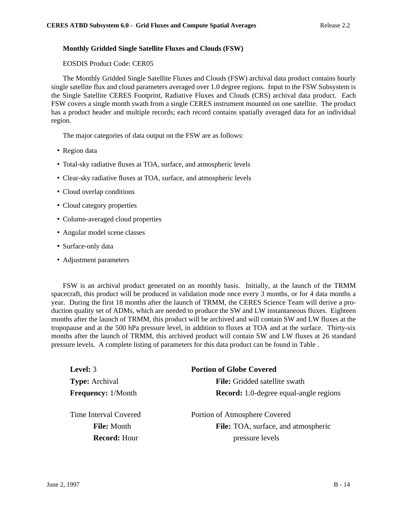## **Monthly Gridded Single Satellite Fluxes and Clouds (FSW)**

EOSDIS Product Code: CER05

The Monthly Gridded Single Satellite Fluxes and Clouds (FSW) archival data product contains hourly single satellite flux and cloud parameters averaged over 1.0 degree regions. Input to the FSW Subsystem is the Single Satellite CERES Footprint, Radiative Fluxes and Clouds (CRS) archival data product. Each FSW covers a single month swath from a single CERES instrument mounted on one satellite. The product has a product header and multiple records; each record contains spatially averaged data for an individual region.

The major categories of data output on the FSW are as follows:

- Region data
- Total-sky radiative fluxes at TOA, surface, and atmospheric levels
- Clear-sky radiative fluxes at TOA, surface, and atmospheric levels
- Cloud overlap conditions
- Cloud category properties
- Column-averaged cloud properties
- Angular model scene classes
- Surface-only data
- Adjustment parameters

FSW is an archival product generated on an monthly basis. Initially, at the launch of the TRMM spacecraft, this product will be produced in validation mode once every 3 months, or for 4 data months a year. During the first 18 months after the launch of TRMM, the CERES Science Team will derive a production quality set of ADMs, which are needed to produce the SW and LW instantaneous fluxes. Eighteen months after the launch of TRMM, this product will be archived and will contain SW and LW fluxes at the tropopause and at the 500 hPa pressure level, in addition to fluxes at TOA and at the surface. Thirty-six months after the launch of TRMM, this archived product will contain SW and LW fluxes at 26 standard pressure levels. A complete listing of parameters for this data product can be found in Table .

| <b>Level:</b> 3                                                    | <b>Portion of Globe Covered</b>                                                         |
|--------------------------------------------------------------------|-----------------------------------------------------------------------------------------|
| <b>Type:</b> Archival                                              | <b>File:</b> Gridded satellite swath                                                    |
| <b>Frequency:</b> 1/Month                                          | <b>Record:</b> 1.0-degree equal-angle regions                                           |
| Time Interval Covered<br><b>File:</b> Month<br><b>Record: Hour</b> | Portion of Atmosphere Covered<br>File: TOA, surface, and atmospheric<br>pressure levels |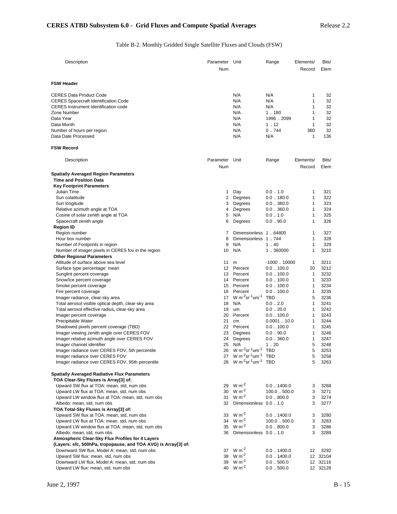# Table B-2. Monthly Gridded Single Satellite Fluxes and Clouds (FSW)

| Description                                                                                           | Parameter Unit<br>Num |                                                                                              | Range                               | Elements/<br>Record | Bits/<br>Elem        |
|-------------------------------------------------------------------------------------------------------|-----------------------|----------------------------------------------------------------------------------------------|-------------------------------------|---------------------|----------------------|
| <b>FSW Header</b>                                                                                     |                       |                                                                                              |                                     |                     |                      |
| <b>CERES Data Product Code</b>                                                                        |                       | N/A                                                                                          | N/A                                 | 1                   | 32                   |
| <b>CERES Spacecraft Identification Code</b>                                                           |                       | N/A                                                                                          | N/A                                 | 1                   | 32                   |
| <b>CERES</b> Instrument Identification code                                                           |                       | N/A                                                                                          | N/A                                 | 1                   | 32                   |
| Zone Number                                                                                           |                       | N/A                                                                                          | 1.180                               | 1                   | 32                   |
| Data Year                                                                                             |                       | N/A                                                                                          | 19962099                            | 1                   | 32                   |
| Data Month                                                                                            |                       | N/A                                                                                          | 112                                 | 1                   | 32                   |
| Number of hours per region                                                                            |                       | N/A                                                                                          | 0.744                               | 360                 | 32                   |
| Data Date Processed                                                                                   |                       | N/A                                                                                          | N/A                                 | 1                   | 136                  |
| <b>FSW Record</b>                                                                                     |                       |                                                                                              |                                     |                     |                      |
| Description                                                                                           | Parameter<br>Num      | Unit                                                                                         | Range                               | Elements/<br>Record | Bits/<br>Elem        |
| <b>Spatially Averaged Region Parameters</b>                                                           |                       |                                                                                              |                                     |                     |                      |
| <b>Time and Position Data</b>                                                                         |                       |                                                                                              |                                     |                     |                      |
| <b>Key Footprint Parameters</b>                                                                       |                       |                                                                                              |                                     |                     |                      |
| Julian Time                                                                                           | 1                     | Day                                                                                          | 0.01.0                              | 1                   | 321                  |
| Sun colatitude                                                                                        | 2                     | Degrees                                                                                      | $0.0$ 180.0                         | 1                   | 322                  |
| Sun longitude                                                                                         | 3                     | Degrees                                                                                      | 0.0360.0                            | 1                   | 323                  |
| Relative azimuth angle at TOA                                                                         | 4                     | Degrees                                                                                      | 0.0360.0                            | 1                   | 324                  |
| Cosine of solar zenith angle at TOA                                                                   | 5                     | N/A                                                                                          | 0.01.0                              | 1                   | 325                  |
| Spacecraft zenith angle                                                                               | 6                     | Degrees                                                                                      | $0.0 - 90.0$                        | 1                   | 326                  |
| <b>Region ID</b>                                                                                      |                       |                                                                                              |                                     |                     |                      |
| Region number                                                                                         | 7                     | Dimensionless 1  64800                                                                       |                                     | 1                   | 327                  |
| Hour box number<br>Number of Footprints in region                                                     | 8<br>9                | Dimensionless 1744<br>N/A                                                                    | 1.40                                | $\mathbf{1}$<br>1   | 328<br>329           |
| Number of imager pixels in CERES fov in the region                                                    | 10                    | N/A                                                                                          | 1.360000                            | 1                   | 3210                 |
| <b>Other Regional Parameters</b>                                                                      |                       |                                                                                              |                                     |                     |                      |
| Altitude of surface above sea level                                                                   | 11                    | m                                                                                            | $-100010000$                        | $\mathbf{1}$        | 3211                 |
| Surface type percentage: mean                                                                         | 12                    | Percent                                                                                      | $0.0$ $\dots$ 100.0                 | 20                  | 3212                 |
| Sunglint percent coverage                                                                             | 13                    | Percent                                                                                      | $0.0$ 100.0                         | 1                   | 3232                 |
| Snow/Ice percent coverage                                                                             |                       | 14 Percent                                                                                   | $0.0$ 100.0                         | 1                   | 3233                 |
| Smoke percent coverage                                                                                | 15                    | Percent                                                                                      | $0.0$ 100.0                         | 1                   | 3234                 |
| Fire percent coverage                                                                                 | 16                    | Percent                                                                                      | $0.0$ $\dots$ 100.0                 | 1                   | 3235                 |
| Imager radiance, clear-sky area                                                                       | 17                    | W m <sup>-2</sup> sr <sup>-1</sup> um <sup>-1</sup>                                          | <b>TBD</b>                          | 5                   | 3236                 |
| Total aerosol visible optical depth, clear-sky area<br>Total aerosol effective radius, clear-sky area | 18<br>19              | N/A<br>um                                                                                    | $0.0 - 2.0$<br>$0.0$ 20.0           | 1<br>1              | 3241<br>3242         |
| Imager percent coverage                                                                               | 20                    | Percent                                                                                      | $0.0$ 100.0                         | 1                   | 3243                 |
| Precipitable Water                                                                                    | 21                    | cm                                                                                           | 0.000110.0                          | 1                   | 3244                 |
| Shadowed pixels percent coverage (TBD)                                                                |                       | 22 Percent                                                                                   | $0.0$ $\dots$ 100.0                 | 1                   | 3245                 |
| Imager viewing zenith angle over CERES FOV                                                            | 23                    | Degrees                                                                                      | $0.0$ 90.0                          | 1                   | 3246                 |
| Imager relative azimuth angle over CERES FOV                                                          | 24                    | Degrees                                                                                      | 0.0360.0                            | 1                   | 3247                 |
| Imager channel identifier                                                                             | 25                    | N/A                                                                                          | 1.20                                | 5                   | 3248                 |
| Imager radiance over CERES FOV, 5th percentile                                                        | 26                    | $W m^{-2}$ sr <sup>-1</sup> um <sup>-1</sup>                                                 | TBD                                 | 5                   | 3253                 |
| Imager radiance over CERES FOV                                                                        | 27<br>28              | W $m^{-2}$ sr <sup>-1</sup> um <sup>-1</sup><br>$W m^{-2}$ sr <sup>-1</sup> um <sup>-1</sup> | <b>TBD</b><br><b>TBD</b>            | 5<br>5              | 3258                 |
| Imager radiance over CERES FOV, 95th percentile                                                       |                       |                                                                                              |                                     |                     | 3263                 |
| <b>Spatially Averaged Radiative Flux Parameters</b>                                                   |                       |                                                                                              |                                     |                     |                      |
| TOA Clear-Sky Fluxes is Array[3] of:                                                                  |                       | $W m^{-2}$                                                                                   |                                     |                     |                      |
| Upward SW flux at TOA: mean, std, num obs<br>Upward LW flux at TOA: mean, std, num obs                | 29<br>30              | $W m-2$                                                                                      | $0.0$ $\ldots$ 1400.0<br>100.0500.0 | 3<br>3              | 3268<br>3271         |
| Upward LW window flux at TOA: mean, std, num obs                                                      | 31                    | $W m-2$                                                                                      | 0.0800.0                            | 3                   | 3274                 |
| Albedo: mean, std, num obs                                                                            | 32                    | <b>Dimensionless</b>                                                                         | 0.01.0                              | 3                   | 3277                 |
| TOA Total-Sky Fluxes is Array[3] of:                                                                  |                       |                                                                                              |                                     |                     |                      |
| Upward SW flux at TOA: mean, std, num obs                                                             | 33                    | $W m-2$                                                                                      | $0.0$ 1400.0                        | 3                   | 3280                 |
| Upward LW flux at TOA: mean, std, num obs                                                             | 34                    | $W m-2$                                                                                      | 100.0500.0                          | 3                   | 3283                 |
| Upward LW window flux at TOA: mean, std, num obs                                                      | 35                    | $W m-2$                                                                                      | 0.0800.0                            | 3                   | 3286                 |
| Albedo: mean, std, num obs                                                                            | 36                    | Dimensionless 0.0  1.0                                                                       |                                     | 3                   | 3289                 |
| Atmospheric Clear-Sky Flux Profiles for 4 Layers                                                      |                       |                                                                                              |                                     |                     |                      |
| (Layers: sfc, 500hPa, tropopause, and TOA AVG) is Array[3] of:                                        |                       | $W m-2$                                                                                      |                                     |                     |                      |
| Downward SW flux, Model A: mean, std, num obs                                                         | 37<br>38              | $W m-2$                                                                                      | $0.0$ $\ldots$ 1400.0               | 12                  | 3292                 |
| Upward SW flux: mean, std, num obs<br>Downward LW flux, Model A: mean, std, num obs                   | 39                    | $W m^{-2}$                                                                                   | $0.0$ $\ldots$ 1400.0<br>0.0500.0   |                     | 12 32104<br>12 32116 |
| Upward LW flux: mean, std, num obs                                                                    |                       | 40 W m <sup>-2</sup>                                                                         | 0.0500.0                            |                     | 12 32128             |
|                                                                                                       |                       |                                                                                              |                                     |                     |                      |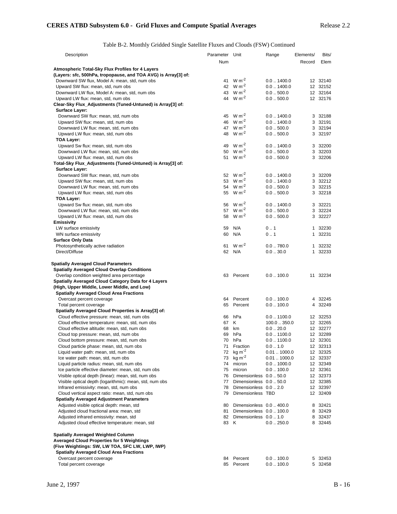Table B-2. Monthly Gridded Single Satellite Fluxes and Clouds (FSW) Continued

| Description                                                    | Parameter Unit |                          | Range                | Elements/ | Bits/    |
|----------------------------------------------------------------|----------------|--------------------------|----------------------|-----------|----------|
|                                                                | Num            |                          |                      | Record    | Elem     |
| Atmospheric Total-Sky Flux Profiles for 4 Layers               |                |                          |                      |           |          |
| (Layers: sfc, 500hPa, tropopause, and TOA AVG) is Array[3] of: |                |                          |                      |           |          |
|                                                                | 41             | $W m-2$                  | $0.0$ $.1400.0$      |           | 12 32140 |
| Downward SW flux, Model A: mean, std, num obs                  |                | 42 $W m^{-2}$            | $0.0$ $.1400.0$      |           |          |
| Upward SW flux: mean, std, num obs                             |                |                          |                      |           | 12 32152 |
| Downward LW flux, Model A: mean, std, num obs                  | 43             | $W m-2$                  | 0.0500.0             |           | 12 32164 |
| Upward LW flux: mean, std, num obs                             |                | 44 W m <sup>-2</sup>     | 0.0500.0             |           | 12 32176 |
| Clear-Sky Flux_Adjustments (Tuned-Untuned) is Array[3] of:     |                |                          |                      |           |          |
| <b>Surface Layer:</b>                                          |                |                          |                      |           |          |
| Downward SW flux: mean, std, num obs                           |                | 45 W m <sup>-2</sup>     | $0.0$ $.1400.0$      |           | 3 32188  |
| Upward SW flux: mean, std, num obs                             |                | 46 $W m^{-2}$            | $0.0$ $.1400.0$      |           | 3 32191  |
| Downward LW flux: mean, std, num obs                           |                | 47 W m <sup>-2</sup>     | 0.0500.0             |           | 3 32194  |
| Upward LW flux: mean, std, num obs                             |                | 48 W m <sup>-2</sup>     | 0.0500.0             |           | 3 32197  |
| <b>TOA Layer:</b>                                              |                |                          |                      |           |          |
| Upward Sw flux: mean, std, num obs                             | 49             | $W m-2$                  | $0.0$ $.1400.0$      |           | 3 32200  |
| Downward LW flux: mean, std, num obs                           | 50             | $W m-2$                  | 0.0500.0             |           | 3 32203  |
| Upward LW flux: mean, std, num obs                             |                | 51 $W m^{-2}$            | 0.0500.0             |           | 3 32206  |
| Total-Sky Flux_Adjustments (Tuned-Untuned) is Array[3] of:     |                |                          |                      |           |          |
| Surface Layer:                                                 |                |                          |                      |           |          |
|                                                                |                | 52 $W m^{-2}$            | $0.0$ $.1400.0$      |           | 3 32209  |
| Downward SW flux: mean, std, num obs                           |                | 53 $W m^{-2}$            |                      |           |          |
| Upward SW flux: mean, std, num obs                             |                |                          | $0.0$ $\dots$ 1400.0 |           | 3 32212  |
| Downward LW flux: mean, std, num obs                           |                | 54 W m <sup>-2</sup>     | 0.0500.0             |           | 3 32215  |
| Upward LW flux: mean, std, num obs                             |                | 55 $W m^{-2}$            | 0.0500.0             |           | 3 32218  |
| <b>TOA Layer:</b>                                              |                |                          |                      |           |          |
| Upward Sw flux: mean, std, num obs                             |                | 56 $W m^{-2}$            | $0.0$ $\dots$ 1400.0 |           | 3 32221  |
| Downward LW flux: mean, std, num obs                           | 57             | $W m-2$                  | 0.0500.0             |           | 3 32224  |
| Upward LW flux: mean, std, num obs                             | 58             | $W m-2$                  | 0.0500.0             |           | 3 32227  |
| <b>Emissivity</b>                                              |                |                          |                      |           |          |
| LW surface emissivity                                          | 59             | N/A                      | 0.1                  |           | 1 32230  |
| WN surface emissivity                                          | 60             | N/A                      | 0.1                  |           | 1 32231  |
| <b>Surface Only Data</b>                                       |                |                          |                      |           |          |
| Photosynthetically active radiation                            | 61             | $W m-2$                  | 0.0780.0             |           | 1 32232  |
| Direct/Diffuse                                                 |                | 62 N/A                   | 0.030.0              |           | 1 32233  |
|                                                                |                |                          |                      |           |          |
| <b>Spatially Averaged Cloud Parameters</b>                     |                |                          |                      |           |          |
|                                                                |                |                          |                      |           |          |
| <b>Spatially Averaged Cloud Overlap Conditions</b>             |                |                          |                      |           |          |
| Overlap condition weighted area percentage                     |                | 63 Percent               | 0.0100.0             |           | 11 32234 |
| Spatially Averaged Cloud Category Data for 4 Layers            |                |                          |                      |           |          |
| (High, Upper Middle, Lower Middle, and Low)                    |                |                          |                      |           |          |
| <b>Spatially Averaged Cloud Area Fractions</b>                 |                |                          |                      |           |          |
| Overcast percent coverage                                      | 64             | Percent                  | 0.0100.0             |           | 4 32245  |
| Total percent coverage                                         |                | 65 Percent               | 0.0100.0             |           | 4 32249  |
| Spatially Averaged Cloud Properties is Array[3] of:            |                |                          |                      |           |          |
| Cloud effective pressure: mean, std, num obs                   | 66             | hPa                      | $0.0$ $\dots$ 1100.0 |           | 12 32253 |
| Cloud effective temperature: mean, std, num obs                | 67             | K                        | 100.0  350.0         |           | 12 32265 |
| Cloud effective altitude: mean, std, num obs                   | 68             | km                       | 0.020.0              |           | 12 32277 |
| Cloud top pressure: mean, std, num obs                         | 69             | hPa                      | $0.0$ $\dots$ 1100.0 |           | 12 32289 |
| Cloud bottom pressure: mean, std, num obs                      | 70             | hPa                      | $0.0 - 1100.0$       |           | 12 32301 |
| Cloud particle phase: mean, std, num obs                       | 71             | Fraction                 | $0.0\,$ 1.0          |           | 12 32313 |
|                                                                | 72             | $kg m-2$                 | $0.01$ 1000.0        |           | 12 32325 |
| Liquid water path: mean, std, num obs                          |                |                          |                      |           |          |
| Ice water path: mean, std, num obs                             | 73             | $kg \, \text{m}^{-2}$    | 0.011000.0           |           | 12 32337 |
| Liquid particle radius: mean, std, num obs                     | 74             | micron                   | $0.0$ $.1000.0$      |           | 12 32349 |
| Ice particle effective diameter: mean, std, num obs            | 75             | micron                   | $0.0$ 100.0          |           | 12 32361 |
| Visible optical depth (linear): mean, std, num obs             | 76             | Dimensionless 0.0  50.0  |                      |           | 12 32373 |
| Visible optical depth (logarithmic): mean, std, num obs        | 77             | Dimensionless 0.0  50.0  |                      |           | 12 32385 |
| Infrared emissivity: mean, std, num obs                        | 78             | Dimensionless 0.0  2.0   |                      |           | 12 32397 |
| Cloud vertical aspect ratio: mean, std, num obs                | 79             | Dimensionless TBD        |                      |           | 12 32409 |
| <b>Spatially Averaged Adjustment Parameters</b>                |                |                          |                      |           |          |
| Adjusted visible optical depth: mean, std                      | 80             | Dimensionless 0.0  400.0 |                      |           | 8 32421  |
| Adjusted cloud fractional area: mean, std                      | 81             | Dimensionless 0.0  100.0 |                      |           | 8 32429  |
| Adjusted infrared emissivity: mean, std                        | 82             | Dimensionless 0.0  1.0   |                      |           | 8 32437  |
| Adjusted cloud effective temperature: mean, std                | 83 K           |                          | 0.0250.0             |           | 8 32445  |
|                                                                |                |                          |                      |           |          |
|                                                                |                |                          |                      |           |          |
| <b>Spatially Averaged Weighted Column</b>                      |                |                          |                      |           |          |
| <b>Averaged Cloud Properties for 5 Weightings</b>              |                |                          |                      |           |          |
| (Five Weightings: SW, LW TOA, SFC LW, LWP, IWP)                |                |                          |                      |           |          |
| <b>Spatially Averaged Cloud Area Fractions</b>                 |                |                          |                      |           |          |
| Overcast percent coverage                                      | 84             | Percent                  | $0.0$ $\ldots$ 100.0 |           | 5 32453  |
| Total percent coverage                                         | 85             | Percent                  | 0.0100.0             |           | 5 32458  |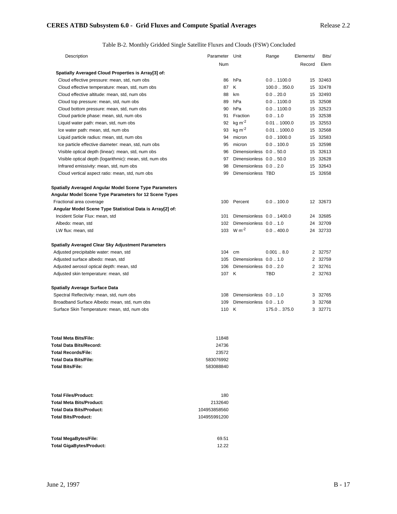# Table B-2. Monthly Gridded Single Satellite Fluxes and Clouds (FSW) Concluded

| Description                                               | Parameter Unit |                           | Range                | Elements/ | Bits/    |
|-----------------------------------------------------------|----------------|---------------------------|----------------------|-----------|----------|
|                                                           | Num            |                           |                      | Record    | Elem     |
| Spatially Averaged Cloud Properties is Array[3] of:       |                |                           |                      |           |          |
| Cloud effective pressure: mean, std, num obs              | 86             | hPa                       | $0.0$ $\dots$ 1100.0 |           | 15 32463 |
| Cloud effective temperature: mean, std, num obs           | 87             | K                         | 100.0350.0           |           | 15 32478 |
| Cloud effective altitude: mean, std, num obs              | 88             | km                        | 0.020.0              |           | 15 32493 |
| Cloud top pressure: mean, std, num obs                    | 89             | hPa                       | $0.0$ $\dots$ 1100.0 |           | 15 32508 |
| Cloud bottom pressure: mean, std, num obs                 | 90             | hPa                       | $0.0$ $\dots$ 1100.0 |           | 15 32523 |
| Cloud particle phase: mean, std, num obs                  | 91             | Fraction                  | 0.01.0               |           | 15 32538 |
| Liquid water path: mean, std, num obs                     | 92             | $kg m-2$                  | 0.011000.0           |           | 15 32553 |
| Ice water path: mean, std, num obs                        | 93             | $kg \, \text{m}^{-2}$     | 0.011000.0           |           | 15 32568 |
| Liquid particle radius: mean, std, num obs                | 94             | micron                    | $0.0$ $\dots$ 1000.0 |           | 15 32583 |
| Ice particle effective diameter: mean, std, num obs       | 95             | micron                    | 0.0100.0             |           | 15 32598 |
| Visible optical depth (linear): mean, std, num obs        | 96             | Dimensionless 0.0  50.0   |                      |           | 15 32613 |
| Visible optical depth (logarithmic): mean, std, num obs   | 97             | Dimensionless 0.0  50.0   |                      |           | 15 32628 |
| Infrared emissivity: mean, std, num obs                   | 98             | Dimensionless 0.0  2.0    |                      |           | 15 32643 |
| Cloud vertical aspect ratio: mean, std, num obs           | 99             | Dimensionless TBD         |                      |           | 15 32658 |
| Spatially Averaged Angular Model Scene Type Parameters    |                |                           |                      |           |          |
| Angular Model Scene Type Parameters for 12 Scene Types    |                |                           |                      |           |          |
| Fractional area coverage                                  |                | 100 Percent               | 0.0100.0             |           | 12 32673 |
| Angular Model Scene Type Statistical Data is Array[2] of: |                |                           |                      |           |          |
| Incident Solar Flux: mean, std                            | 101            | Dimensionless 0.0  1400.0 |                      |           | 24 32685 |
| Albedo: mean, std                                         | 102            | Dimensionless 0.0  1.0    |                      | 24        | 32709    |
| LW flux: mean, std                                        | 103            | $W m-2$                   | 0.0400.0             |           | 24 32733 |
| Spatially Averaged Clear Sky Adjustment Parameters        |                |                           |                      |           |          |
| Adjusted precipitable water: mean, std                    | 104            | cm                        | 0.0018.0             |           | 2 32757  |
| Adjusted surface albedo: mean, std                        | 105            | Dimensionless 0.0  1.0    |                      |           | 2 32759  |
| Adjusted aerosol optical depth: mean, std                 | 106            | Dimensionless 0.0  2.0    |                      |           | 2 32761  |
| Adjusted skin temperature: mean, std                      | 107 K          |                           | TBD                  |           | 2 32763  |
| <b>Spatially Average Surface Data</b>                     |                |                           |                      |           |          |
| Spectral Reflectivity: mean, std, num obs                 | 108            | Dimensionless 0.0  1.0    |                      | 3         | 32765    |
| Broadband Surface Albedo: mean, std, num obs              | 109            | Dimensionless 0.0  1.0    |                      | 3         | 32768    |
| Surface Skin Temperature: mean, std, num obs              | 110            | K                         | 175.0.375.0          |           | 3 32771  |
|                                                           |                |                           |                      |           |          |
| Total Meta Bits/File:                                     | 11848          |                           |                      |           |          |
| Total Data Bits/Record:                                   | 24736          |                           |                      |           |          |
| <b>Total Records/File:</b>                                | 23572          |                           |                      |           |          |
| Total Data Bits/File:                                     | 583076992      |                           |                      |           |          |
| Total Bits/File:                                          | 583088840      |                           |                      |           |          |
| <b>Total Files/Product:</b>                               | 180            |                           |                      |           |          |
| <b>Total Meta Bits/Product:</b>                           | 2132640        |                           |                      |           |          |
| Total Data Bits/Product:                                  | 104953858560   |                           |                      |           |          |
| <b>Total Bits/Product:</b>                                | 104955991200   |                           |                      |           |          |

| Total MegaBytes/File:    | 69.51 |
|--------------------------|-------|
| Total GigaBytes/Product: | 12.22 |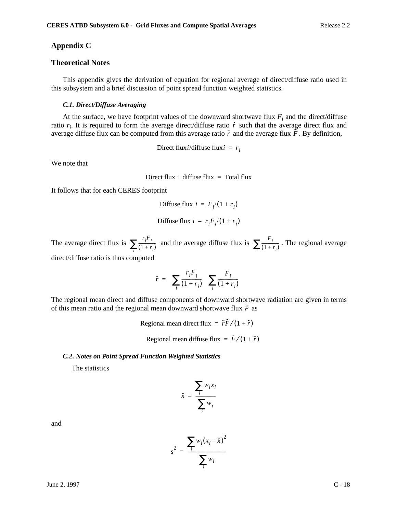## **Appendix C**

## **Theoretical Notes**

This appendix gives the derivation of equation for regional average of direct/diffuse ratio used in this subsystem and a brief discussion of point spread function weighted statistics.

### *C.1. Direct/Diffuse Averaging*

At the surface, we have footprint values of the downward shortwave flux  $F_i$  and the direct/diffuse ratio  $r_i$ . It is required to form the average direct/diffuse ratio  $\tilde{r}$  such that the average direct flux and average diffuse flux can be computed from this average ratio  $\tilde{r}$  and the average flux  $\tilde{F}$ . By definition,

Direct flux*i*/diffuse flux*i* =  $r_i$ 

We note that

Direct flux + diffuse flux = Total flux

It follows that for each CERES footprint

$$
Diffuse flux i = F_i/(1 + r_i)
$$

$$
Diffuse flux i = r_i F_i / (1 + r_i)
$$

The average direct flux is  $\sum_{i=1}^r \frac{r_i F_i}{r_i}$  and the average diffuse flux is  $\sum_{i=1}^r \frac{F_i}{r_i}$ . The regional average direct/diffuse ratio is thus computed  $\sum_{i} \frac{r_i F_i}{(1+r_i)}$  and the average diffuse flux is  $\sum_{i} \frac{F_i}{(1+r_i)}$ 

$$
\tilde{r} = \left(\sum_i \frac{r_i F_i}{(1+r_i)}\right)\left(\sum_i \frac{F_i}{(1+r_i)}\right)
$$

The regional mean direct and diffuse components of downward shortwave radiation are given in terms of this mean ratio and the regional mean downward shortwave flux  $\tilde{F}$  as

Regional mean direct flux  $= \tilde{r}\tilde{F}/(1+\tilde{r})$ 

Regional mean diffuse flux  $= \tilde{F}/(1+\tilde{r})$ 

### *C.2. Notes on Point Spread Function Weighted Statistics*

The statistics

$$
\hat{x} = \frac{\sum_{i} w_i x_i}{\sum_{i} w_i}
$$

and

$$
s^{2} = \frac{\sum_{i} w_{i}(x_{i} - \hat{x})^{2}}{\sum_{i} w_{i}}
$$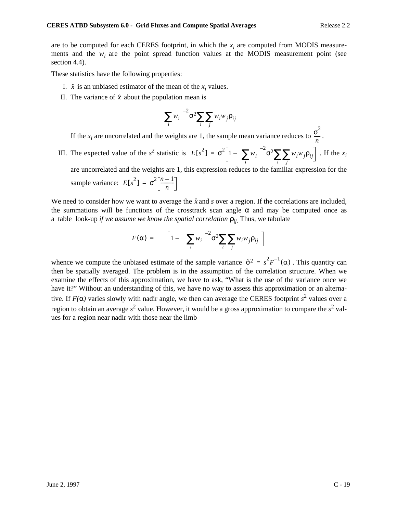are to be computed for each CERES footprint, in which the  $x_i$  are computed from MODIS measurements and the  $w_i$  are the point spread function values at the MODIS measurement point (see section 4.4).

These statistics have the following properties:

- I.  $\hat{x}$  is an unbiased estimator of the mean of the  $x_i$  values.
- II. The variance of  $\hat{x}$  about the population mean is

$$
\left(\sum_i w_i\right)^{-2} \sigma^2 \sum_i \sum_j w_i w_j \rho_{ij}
$$

If the *x<sub>i</sub>* are uncorrelated and the weights are 1, the sample mean variance reduces to  $\frac{\sigma^2}{n}$ .  $\frac{0}{n}$ 

III. The expected value of the  $s^2$  statistic is  $E[s^2] = \sigma^2 \left[1 - \left(\sum_i w_i\right)^{-2} \sigma^2 \sum_i \sum_j w_i w_j \rho_{ij}\right]$ . If the  $x_i$ are uncorrelated and the weights are 1, this expression reduces to the familiar expression for the  $= \sigma^2 \left[1 - \left(\sum_i w_i\right)^2 \sigma^2 \sum_i \sum_j w_i w_j \rho_{ij}\right]$ 

sample variance:  $E[s^2] = \sigma^2 \left[ \frac{n-1}{n} \right]$ 

We need to consider how we want to average the  $\hat{x}$  and  $\hat{s}$  over a region. If the correlations are included, the summations will be functions of the crosstrack scan angle  $\alpha$  and may be computed once as a table look-up *if we assume we know the spatial correlation*  $\rho_{ij}$ . Thus, we tabulate

$$
F(\alpha) = \left[1 - \left(\left(\sum_{i} w_{i}\right)^{-2} \sigma^{2} \sum_{i} \sum_{j} w_{i} w_{j} \rho_{ij}\right)\right]
$$

whence we compute the unbiased estimate of the sample variance  $\hat{\sigma}^2 = s^2 F^{-1}(\alpha)$ . This quantity can then be spatially averaged. The problem is in the assumption of the correlation structure. When we examine the effects of this approximation, we have to ask, "What is the use of the variance once we have it?" Without an understanding of this, we have no way to assess this approximation or an alternative. If  $F(\alpha)$  varies slowly with nadir angle, we then can average the CERES footprint  $s^2$  values over a region to obtain an average s<sup>2</sup> value. However, it would be a gross approximation to compare the s<sup>2</sup> values for a region near nadir with those near the limb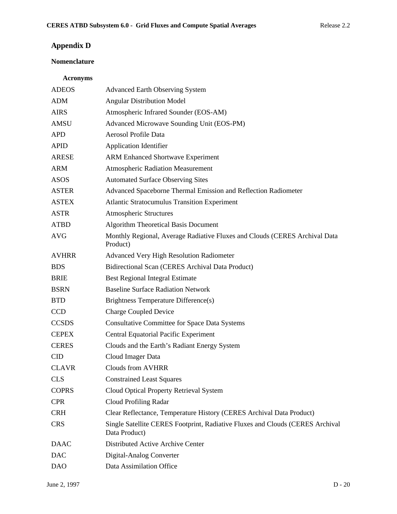# **Appendix D**

# **Nomenclature**

# **Acronyms**

| <b>ADEOS</b> | <b>Advanced Earth Observing System</b>                                                         |
|--------------|------------------------------------------------------------------------------------------------|
| <b>ADM</b>   | <b>Angular Distribution Model</b>                                                              |
| <b>AIRS</b>  | Atmospheric Infrared Sounder (EOS-AM)                                                          |
| <b>AMSU</b>  | Advanced Microwave Sounding Unit (EOS-PM)                                                      |
| <b>APD</b>   | Aerosol Profile Data                                                                           |
| <b>APID</b>  | <b>Application Identifier</b>                                                                  |
| <b>ARESE</b> | <b>ARM Enhanced Shortwave Experiment</b>                                                       |
| <b>ARM</b>   | <b>Atmospheric Radiation Measurement</b>                                                       |
| <b>ASOS</b>  | <b>Automated Surface Observing Sites</b>                                                       |
| <b>ASTER</b> | Advanced Spaceborne Thermal Emission and Reflection Radiometer                                 |
| <b>ASTEX</b> | <b>Atlantic Stratocumulus Transition Experiment</b>                                            |
| <b>ASTR</b>  | <b>Atmospheric Structures</b>                                                                  |
| <b>ATBD</b>  | <b>Algorithm Theoretical Basis Document</b>                                                    |
| <b>AVG</b>   | Monthly Regional, Average Radiative Fluxes and Clouds (CERES Archival Data<br>Product)         |
| <b>AVHRR</b> | <b>Advanced Very High Resolution Radiometer</b>                                                |
| <b>BDS</b>   | Bidirectional Scan (CERES Archival Data Product)                                               |
| <b>BRIE</b>  | <b>Best Regional Integral Estimate</b>                                                         |
| <b>BSRN</b>  | <b>Baseline Surface Radiation Network</b>                                                      |
| <b>BTD</b>   | Brightness Temperature Difference(s)                                                           |
| <b>CCD</b>   | <b>Charge Coupled Device</b>                                                                   |
| <b>CCSDS</b> | <b>Consultative Committee for Space Data Systems</b>                                           |
| <b>CEPEX</b> | <b>Central Equatorial Pacific Experiment</b>                                                   |
| <b>CERES</b> | Clouds and the Earth's Radiant Energy System                                                   |
| <b>CID</b>   | Cloud Imager Data                                                                              |
| <b>CLAVR</b> | <b>Clouds from AVHRR</b>                                                                       |
| <b>CLS</b>   | <b>Constrained Least Squares</b>                                                               |
| <b>COPRS</b> | Cloud Optical Property Retrieval System                                                        |
| <b>CPR</b>   | Cloud Profiling Radar                                                                          |
| <b>CRH</b>   | Clear Reflectance, Temperature History (CERES Archival Data Product)                           |
| <b>CRS</b>   | Single Satellite CERES Footprint, Radiative Fluxes and Clouds (CERES Archival<br>Data Product) |
| <b>DAAC</b>  | Distributed Active Archive Center                                                              |
| <b>DAC</b>   | Digital-Analog Converter                                                                       |
| <b>DAO</b>   | Data Assimilation Office                                                                       |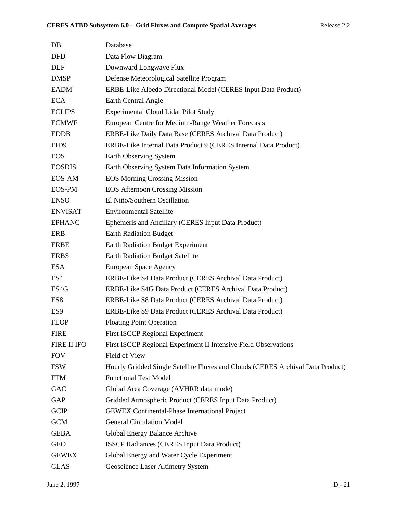| DB               | Database                                                                        |
|------------------|---------------------------------------------------------------------------------|
| <b>DFD</b>       | Data Flow Diagram                                                               |
| <b>DLF</b>       | Downward Longwave Flux                                                          |
| <b>DMSP</b>      | Defense Meteorological Satellite Program                                        |
| <b>EADM</b>      | ERBE-Like Albedo Directional Model (CERES Input Data Product)                   |
| <b>ECA</b>       | Earth Central Angle                                                             |
| <b>ECLIPS</b>    | <b>Experimental Cloud Lidar Pilot Study</b>                                     |
| <b>ECMWF</b>     | European Centre for Medium-Range Weather Forecasts                              |
| <b>EDDB</b>      | ERBE-Like Daily Data Base (CERES Archival Data Product)                         |
| EID <sub>9</sub> | ERBE-Like Internal Data Product 9 (CERES Internal Data Product)                 |
| <b>EOS</b>       | Earth Observing System                                                          |
| <b>EOSDIS</b>    | Earth Observing System Data Information System                                  |
| EOS-AM           | <b>EOS Morning Crossing Mission</b>                                             |
| <b>EOS-PM</b>    | <b>EOS Afternoon Crossing Mission</b>                                           |
| <b>ENSO</b>      | El Niño/Southern Oscillation                                                    |
| <b>ENVISAT</b>   | <b>Environmental Satellite</b>                                                  |
| <b>EPHANC</b>    | Ephemeris and Ancillary (CERES Input Data Product)                              |
| ERB              | <b>Earth Radiation Budget</b>                                                   |
| ERBE             | Earth Radiation Budget Experiment                                               |
| <b>ERBS</b>      | <b>Earth Radiation Budget Satellite</b>                                         |
| <b>ESA</b>       | European Space Agency                                                           |
| ES4              | ERBE-Like S4 Data Product (CERES Archival Data Product)                         |
| ES4G             | ERBE-Like S4G Data Product (CERES Archival Data Product)                        |
| ES8              | ERBE-Like S8 Data Product (CERES Archival Data Product)                         |
| ES <sub>9</sub>  | ERBE-Like S9 Data Product (CERES Archival Data Product)                         |
| <b>FLOP</b>      | <b>Floating Point Operation</b>                                                 |
| <b>FIRE</b>      | <b>First ISCCP Regional Experiment</b>                                          |
| FIRE II IFO      | First ISCCP Regional Experiment II Intensive Field Observations                 |
| <b>FOV</b>       | Field of View                                                                   |
| <b>FSW</b>       | Hourly Gridded Single Satellite Fluxes and Clouds (CERES Archival Data Product) |
| <b>FTM</b>       | <b>Functional Test Model</b>                                                    |
| <b>GAC</b>       | Global Area Coverage (AVHRR data mode)                                          |
| GAP              | Gridded Atmospheric Product (CERES Input Data Product)                          |
| <b>GCIP</b>      | <b>GEWEX Continental-Phase International Project</b>                            |
| <b>GCM</b>       | <b>General Circulation Model</b>                                                |
| <b>GEBA</b>      | Global Energy Balance Archive                                                   |
| <b>GEO</b>       | <b>ISSCP Radiances (CERES Input Data Product)</b>                               |
| <b>GEWEX</b>     | Global Energy and Water Cycle Experiment                                        |
| <b>GLAS</b>      | Geoscience Laser Altimetry System                                               |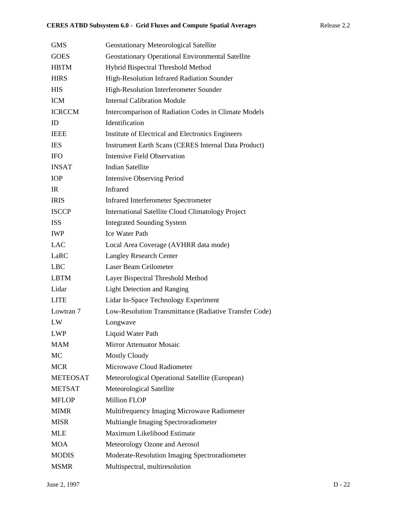| <b>GMS</b>      | <b>Geostationary Meteorological Satellite</b>               |
|-----------------|-------------------------------------------------------------|
| <b>GOES</b>     | <b>Geostationary Operational Environmental Satellite</b>    |
| <b>HBTM</b>     | Hybrid Bispectral Threshold Method                          |
| <b>HIRS</b>     | High-Resolution Infrared Radiation Sounder                  |
| <b>HIS</b>      | High-Resolution Interferometer Sounder                      |
| <b>ICM</b>      | <b>Internal Calibration Module</b>                          |
| <b>ICRCCM</b>   | Intercomparison of Radiation Codes in Climate Models        |
| ID              | Identification                                              |
| <b>IEEE</b>     | Institute of Electrical and Electronics Engineers           |
| <b>IES</b>      | <b>Instrument Earth Scans (CERES Internal Data Product)</b> |
| <b>IFO</b>      | <b>Intensive Field Observation</b>                          |
| <b>INSAT</b>    | <b>Indian Satellite</b>                                     |
| <b>IOP</b>      | <b>Intensive Observing Period</b>                           |
| IR              | <b>Infrared</b>                                             |
| <b>IRIS</b>     | <b>Infrared Interferometer Spectrometer</b>                 |
| <b>ISCCP</b>    | <b>International Satellite Cloud Climatology Project</b>    |
| <b>ISS</b>      | <b>Integrated Sounding System</b>                           |
| <b>IWP</b>      | <b>Ice Water Path</b>                                       |
| <b>LAC</b>      | Local Area Coverage (AVHRR data mode)                       |
| LaRC            | <b>Langley Research Center</b>                              |
| <b>LBC</b>      | Laser Beam Ceilometer                                       |
| <b>LBTM</b>     | Layer Bispectral Threshold Method                           |
| Lidar           | <b>Light Detection and Ranging</b>                          |
| <b>LITE</b>     | Lidar In-Space Technology Experiment                        |
| Lowtran 7       | Low-Resolution Transmittance (Radiative Transfer Code)      |
| LW              | Longwave                                                    |
| <b>LWP</b>      | Liquid Water Path                                           |
| <b>MAM</b>      | <b>Mirror Attenuator Mosaic</b>                             |
| MC              | <b>Mostly Cloudy</b>                                        |
| <b>MCR</b>      | Microwave Cloud Radiometer                                  |
| <b>METEOSAT</b> | Meteorological Operational Satellite (European)             |
| <b>METSAT</b>   | Meteorological Satellite                                    |
| <b>MFLOP</b>    | <b>Million FLOP</b>                                         |
| <b>MIMR</b>     | Multifrequency Imaging Microwave Radiometer                 |
| <b>MISR</b>     | Multiangle Imaging Spectroradiometer                        |
| <b>MLE</b>      | Maximum Likelihood Estimate                                 |
| <b>MOA</b>      | Meteorology Ozone and Aerosol                               |
| <b>MODIS</b>    | Moderate-Resolution Imaging Spectroradiometer               |
| <b>MSMR</b>     | Multispectral, multiresolution                              |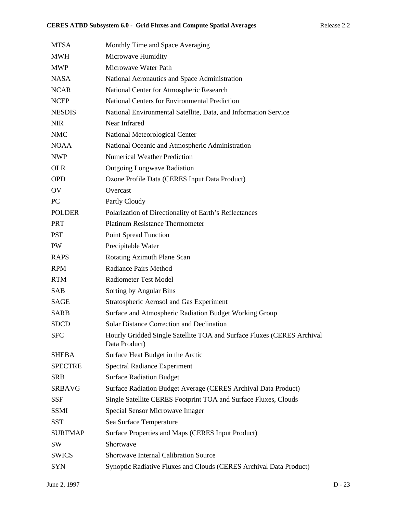| <b>MTSA</b>    | Monthly Time and Space Averaging                                                        |
|----------------|-----------------------------------------------------------------------------------------|
| <b>MWH</b>     | Microwave Humidity                                                                      |
| <b>MWP</b>     | Microwave Water Path                                                                    |
| <b>NASA</b>    | National Aeronautics and Space Administration                                           |
| <b>NCAR</b>    | National Center for Atmospheric Research                                                |
| <b>NCEP</b>    | <b>National Centers for Environmental Prediction</b>                                    |
| <b>NESDIS</b>  | National Environmental Satellite, Data, and Information Service                         |
| <b>NIR</b>     | Near Infrared                                                                           |
| <b>NMC</b>     | National Meteorological Center                                                          |
| <b>NOAA</b>    | National Oceanic and Atmospheric Administration                                         |
| <b>NWP</b>     | <b>Numerical Weather Prediction</b>                                                     |
| <b>OLR</b>     | <b>Outgoing Longwave Radiation</b>                                                      |
| <b>OPD</b>     | Ozone Profile Data (CERES Input Data Product)                                           |
| OV             | Overcast                                                                                |
| PC             | Partly Cloudy                                                                           |
| <b>POLDER</b>  | Polarization of Directionality of Earth's Reflectances                                  |
| <b>PRT</b>     | <b>Platinum Resistance Thermometer</b>                                                  |
| <b>PSF</b>     | <b>Point Spread Function</b>                                                            |
| PW             | Precipitable Water                                                                      |
| <b>RAPS</b>    | Rotating Azimuth Plane Scan                                                             |
| <b>RPM</b>     | <b>Radiance Pairs Method</b>                                                            |
| <b>RTM</b>     | Radiometer Test Model                                                                   |
| <b>SAB</b>     | Sorting by Angular Bins                                                                 |
| SAGE           | <b>Stratospheric Aerosol and Gas Experiment</b>                                         |
| <b>SARB</b>    | Surface and Atmospheric Radiation Budget Working Group                                  |
| <b>SDCD</b>    | <b>Solar Distance Correction and Declination</b>                                        |
| <b>SFC</b>     | Hourly Gridded Single Satellite TOA and Surface Fluxes (CERES Archival<br>Data Product) |
| <b>SHEBA</b>   | Surface Heat Budget in the Arctic                                                       |
| <b>SPECTRE</b> | <b>Spectral Radiance Experiment</b>                                                     |
| <b>SRB</b>     | <b>Surface Radiation Budget</b>                                                         |
| <b>SRBAVG</b>  | Surface Radiation Budget Average (CERES Archival Data Product)                          |
| SSF            | Single Satellite CERES Footprint TOA and Surface Fluxes, Clouds                         |
| <b>SSMI</b>    | Special Sensor Microwave Imager                                                         |
| <b>SST</b>     | Sea Surface Temperature                                                                 |
| <b>SURFMAP</b> | Surface Properties and Maps (CERES Input Product)                                       |
| <b>SW</b>      | Shortwave                                                                               |
| <b>SWICS</b>   | <b>Shortwave Internal Calibration Source</b>                                            |
| <b>SYN</b>     | Synoptic Radiative Fluxes and Clouds (CERES Archival Data Product)                      |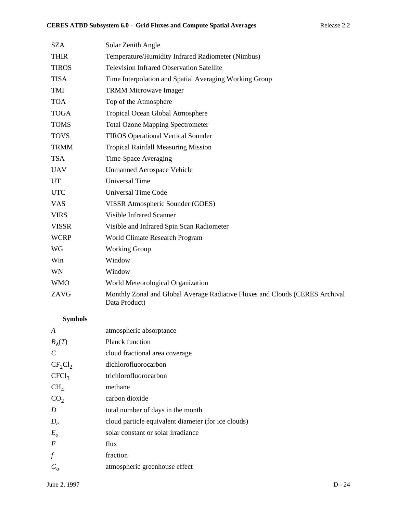| <b>SZA</b>   | Solar Zenith Angle                                                                            |
|--------------|-----------------------------------------------------------------------------------------------|
| <b>THIR</b>  | Temperature/Humidity Infrared Radiometer (Nimbus)                                             |
| <b>TIROS</b> | <b>Television Infrared Observation Satellite</b>                                              |
| <b>TISA</b>  | Time Interpolation and Spatial Averaging Working Group                                        |
| TMI          | <b>TRMM Microwave Imager</b>                                                                  |
| <b>TOA</b>   | Top of the Atmosphere                                                                         |
| <b>TOGA</b>  | <b>Tropical Ocean Global Atmosphere</b>                                                       |
| <b>TOMS</b>  | <b>Total Ozone Mapping Spectrometer</b>                                                       |
| <b>TOVS</b>  | <b>TIROS Operational Vertical Sounder</b>                                                     |
| <b>TRMM</b>  | <b>Tropical Rainfall Measuring Mission</b>                                                    |
| <b>TSA</b>   | Time-Space Averaging                                                                          |
| <b>UAV</b>   | <b>Unmanned Aerospace Vehicle</b>                                                             |
| <b>UT</b>    | <b>Universal Time</b>                                                                         |
| <b>UTC</b>   | <b>Universal Time Code</b>                                                                    |
| <b>VAS</b>   | VISSR Atmospheric Sounder (GOES)                                                              |
| <b>VIRS</b>  | <b>Visible Infrared Scanner</b>                                                               |
| <b>VISSR</b> | Visible and Infrared Spin Scan Radiometer                                                     |
| <b>WCRP</b>  | World Climate Research Program                                                                |
| WG           | <b>Working Group</b>                                                                          |
| Win          | Window                                                                                        |
| WN           | Window                                                                                        |
| <b>WMO</b>   | World Meteorological Organization                                                             |
| ZAVG         | Monthly Zonal and Global Average Radiative Fluxes and Clouds (CERES Archival<br>Data Product) |

# **Symbols**

| atmospheric absorptance                             |
|-----------------------------------------------------|
| <b>Planck function</b>                              |
| cloud fractional area coverage                      |
| dichlorofluorocarbon                                |
| trichlorofluorocarbon                               |
| methane                                             |
| carbon dioxide                                      |
| total number of days in the month                   |
| cloud particle equivalent diameter (for ice clouds) |
| solar constant or solar irradiance                  |
| flux                                                |
| fraction                                            |
| atmospheric greenhouse effect                       |
|                                                     |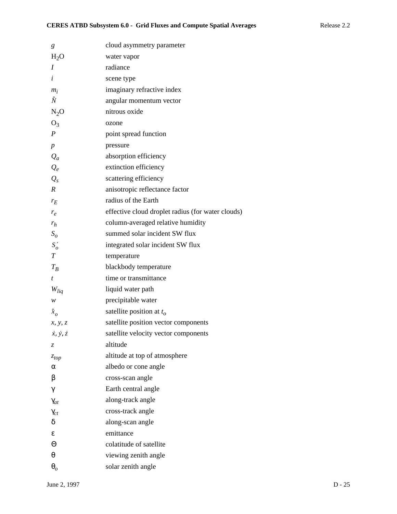| g                           | cloud asymmetry parameter                         |
|-----------------------------|---------------------------------------------------|
| $H_2O$                      | water vapor                                       |
| I                           | radiance                                          |
| i                           | scene type                                        |
| $m_i$                       | imaginary refractive index                        |
| Ñ                           | angular momentum vector                           |
| $N_2O$                      | nitrous oxide                                     |
| $O_3$                       | ozone                                             |
| $\boldsymbol{P}$            | point spread function                             |
| $\boldsymbol{p}$            | pressure                                          |
| $Q_a$                       | absorption efficiency                             |
| $Q_e$                       | extinction efficiency                             |
| $Q_{s}$                     | scattering efficiency                             |
| $\boldsymbol{R}$            | anisotropic reflectance factor                    |
| $r_E$                       | radius of the Earth                               |
| $r_e$                       | effective cloud droplet radius (for water clouds) |
| $r_h$                       | column-averaged relative humidity                 |
| $S_{\scriptscriptstyle O}$  | summed solar incident SW flux                     |
| $S'_{o}$                    | integrated solar incident SW flux                 |
| $\boldsymbol{T}$            | temperature                                       |
| $T_R$                       | blackbody temperature                             |
| t                           | time or transmittance                             |
| $W_{liq}$                   | liquid water path                                 |
| w                           | precipitable water                                |
| $\hat{x}_o$                 | satellite position at $t_o$                       |
| x, y, z                     | satellite position vector components              |
| $\dot{x}, \dot{y}, \dot{z}$ | satellite velocity vector components              |
| $\mathcal{Z}$               | altitude                                          |
| $z_{top}$                   | altitude at top of atmosphere                     |
| α                           | albedo or cone angle                              |
| β                           | cross-scan angle                                  |
| γ                           | Earth central angle                               |
| $\gamma_{at}$               | along-track angle                                 |
| $\gamma_{ct}$               | cross-track angle                                 |
| δ                           | along-scan angle                                  |
| ε                           | emittance                                         |
| Θ                           | colatitude of satellite                           |
| $\theta$                    | viewing zenith angle                              |
| $\boldsymbol{\theta}_{o}$   | solar zenith angle                                |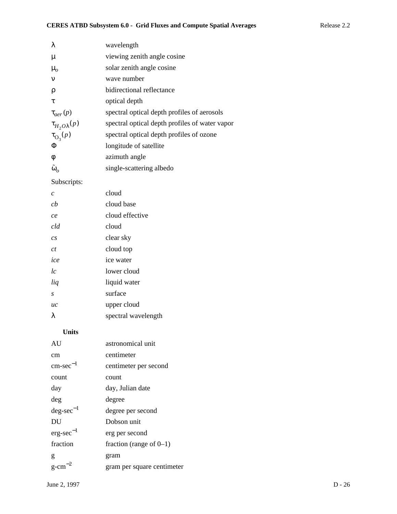| λ                       | wavelength                                     |
|-------------------------|------------------------------------------------|
| μ                       | viewing zenith angle cosine                    |
| $\mu_{o}$               | solar zenith angle cosine                      |
| $\mathbf{v}$            | wave number                                    |
| ρ                       | bidirectional reflectance                      |
| τ                       | optical depth                                  |
| $\tau_{aer}(p)$         | spectral optical depth profiles of aerosols    |
| $\tau_{H_2O\lambda}(p)$ | spectral optical depth profiles of water vapor |
| $\tau_{\text{O}_3}(p)$  | spectral optical depth profiles of ozone       |
| Φ                       | longitude of satellite                         |
| φ                       | azimuth angle                                  |
| $\tilde{\omega}_o$      | single-scattering albedo                       |

# Subscripts:

| cloud               |
|---------------------|
| cloud base          |
| cloud effective     |
| cloud               |
| clear sky           |
| cloud top           |
| ice water           |
| lower cloud         |
| liquid water        |
| surface             |
| upper cloud         |
| spectral wavelength |
|                     |

# **Units**

| AU                       | astronomical unit          |
|--------------------------|----------------------------|
| cm                       | centimeter                 |
| $\rm cm\text{-}sec^{-1}$ | centimeter per second      |
| count                    | count                      |
| day                      | day, Julian date           |
| deg                      | degree                     |
| $deg\text{-}sec^{-1}$    | degree per second          |
| DU                       | Dobson unit                |
| $erg\text{-}sec^{-1}$    | erg per second             |
| fraction                 | fraction (range of $0-1$ ) |
| g                        | gram                       |
| g-cm                     | gram per square centimeter |